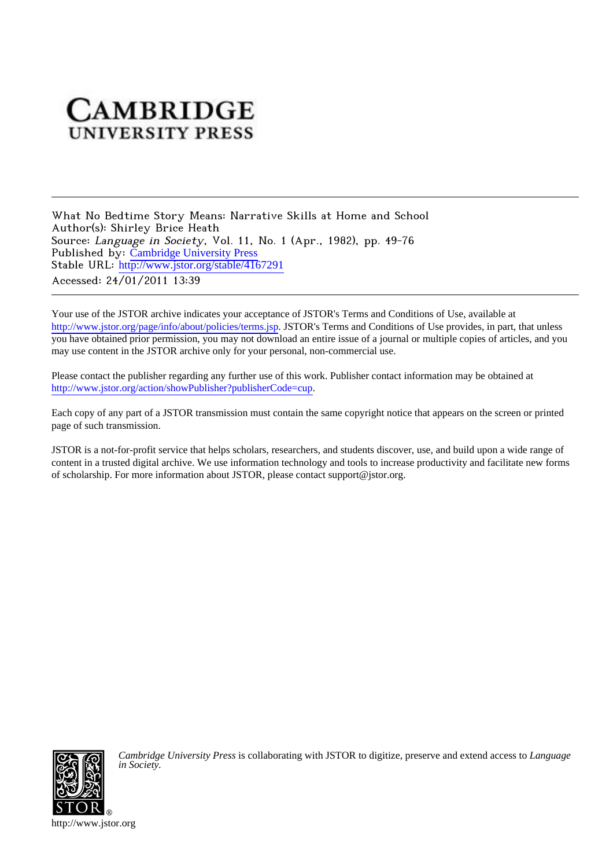# **CAMBRIDGE UNIVERSITY PRESS**

What No Bedtime Story Means: Narrative Skills at Home and School Author(s): Shirley Brice Heath Source: Language in Society, Vol. 11, No. 1 (Apr., 1982), pp. 49-76 Published by: [Cambridge University Press](http://www.jstor.org/action/showPublisher?publisherCode=cup) Stable URL: [http://www.jstor.org/stable/4167291](http://www.jstor.org/stable/4167291?origin=JSTOR-pdf) Accessed: 24/01/2011 13:39

Your use of the JSTOR archive indicates your acceptance of JSTOR's Terms and Conditions of Use, available at <http://www.jstor.org/page/info/about/policies/terms.jsp>. JSTOR's Terms and Conditions of Use provides, in part, that unless you have obtained prior permission, you may not download an entire issue of a journal or multiple copies of articles, and you may use content in the JSTOR archive only for your personal, non-commercial use.

Please contact the publisher regarding any further use of this work. Publisher contact information may be obtained at <http://www.jstor.org/action/showPublisher?publisherCode=cup>. .

Each copy of any part of a JSTOR transmission must contain the same copyright notice that appears on the screen or printed page of such transmission.

JSTOR is a not-for-profit service that helps scholars, researchers, and students discover, use, and build upon a wide range of content in a trusted digital archive. We use information technology and tools to increase productivity and facilitate new forms of scholarship. For more information about JSTOR, please contact support@jstor.org.



*Cambridge University Press* is collaborating with JSTOR to digitize, preserve and extend access to *Language in Society.*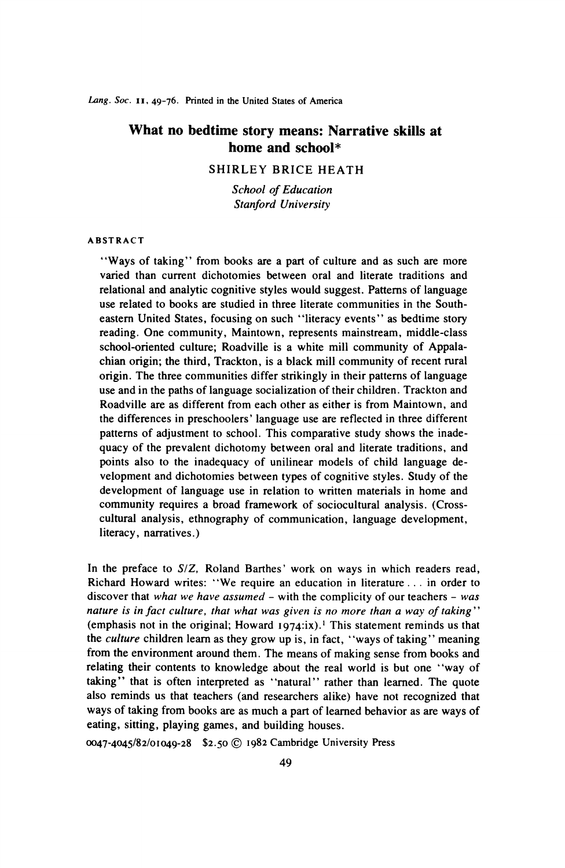**Lang. Soc. Ix, 49-76. Printed in the United States of America** 

# **What no bedtime story means: Narrative skills at home and school\***

# **SHIRLEY BRICE HEATH**

**School of Education Stanford University** 

## **ABSTRACT**

**"Ways of taking" from books are a part of culture and as such are more varied than current dichotomies between oral and literate traditions and relational and analytic cognitive styles would suggest. Patterns of language use related to books are studied in three literate communities in the Southeastern United States, focusing on such "literacy events" as bedtime story reading. One community, Maintown, represents mainstream, middle-class school-oriented culture; Roadville is a white mill community of Appalachian origin; the third, Trackton, is a black mill community of recent rural origin. The three communities differ strikingly in their patterns of language use and in the paths of language socialization of their children. Trackton and Roadville are as different from each other as either is from Maintown, and the differences in preschoolers' language use are reflected in three different patterns of adjustment to school. This comparative study shows the inadequacy of the prevalent dichotomy between oral and literate traditions, and points also to the inadequacy of unilinear models of child language development and dichotomies between types of cognitive styles. Study of the development of language use in relation to written materials in home and community requires a broad framework of sociocultural analysis. (Crosscultural analysis, ethnography of communication, language development, literacy, narratives.)** 

In the preface to S/Z, Roland Barthes' work on ways in which readers read, **Richard Howard writes: "We require an education in literature. . . in order to discover that what we have assumed - with the complicity of our teachers - was nature is in fact culture, that what was given is no more than a way of taking"**  (emphasis not in the original; Howard  $1974$ :ix).<sup>1</sup> This statement reminds us that **the culture children learn as they grow up is, in fact, "'ways of taking" meaning from the environment around them. The means of making sense from books and relating their contents to knowledge about the real world is but one "'way of taking" that is often interpreted as "natural" rather than learned. The quote also reminds us that teachers (and researchers alike) have not recognized that ways of taking from books are as much a part of learned behavior as are ways of eating, sitting, playing games, and building houses.** 

**0047-4045/82/0o049-28 \$2.50 ?) I982 Cambridge University Press**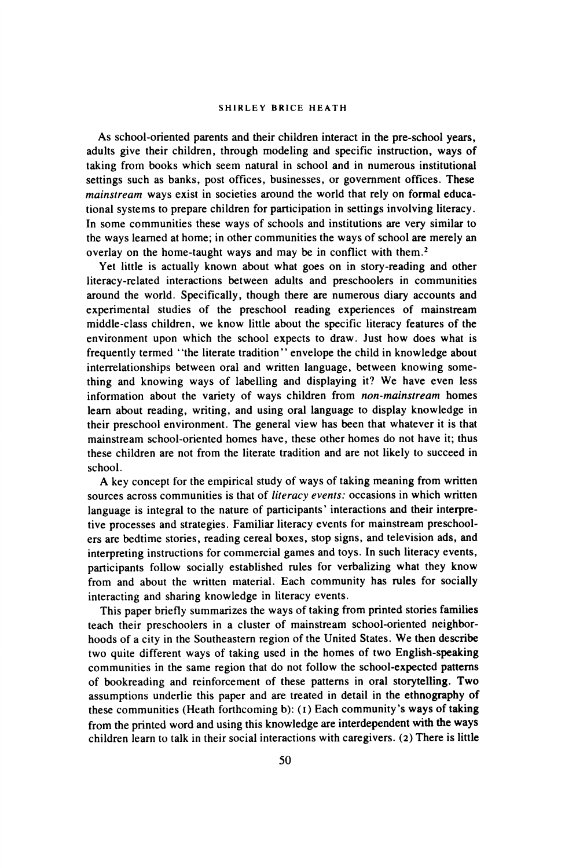**As school-oriented parents and their children interact in the pre-school years, adults give their children, through modeling and specific instruction, ways of taking from books which seem natural in school and in numerous institutional settings such as banks, post offices, businesses, or government offices. These mainstream ways exist in societies around the world that rely on formal educational systems to prepare children for participation in settings involving literacy. In some communities these ways of schools and institutions are very similar to the ways learned at home; in other communities the ways of school are merely an overlay on the home-taught ways and may be in conflict with them.2** 

**Yet little is actually known about what goes on in story-reading and other literacy-related interactions between adults and preschoolers in communities around the world. Specifically, though there are numerous diary accounts and experimental studies of the preschool reading experiences of mainstream middle-class children, we know little about the specific literacy features of the environment upon which the school expects to draw. Just how does what is frequently termed "the literate tradition" envelope the child in knowledge about interrelationships between oral and written language, between knowing something and knowing ways of labelling and displaying it? We have even less information about the variety of ways children from non-mainstream homes learn about reading, writing, and using oral language to display knowledge in their preschool environment. The general view has been that whatever it is that mainstream school-oriented homes have, these other homes do not have it; thus these children are not from the literate tradition and are not likely to succeed in school.** 

**A key concept for the empirical study of ways of taking meaning from written sources across communities is that of literacy events: occasions in which written language is integral to the nature of participants' interactions and their interpretive processes and strategies. Familiar literacy events for mainstream preschoolers are bedtime stories, reading cereal boxes, stop signs, and television ads, and interpreting instructions for commercial games and toys. In such literacy events, participants follow socially established rules for verbalizing what they know from and about the written material. Each community has rules for socially interacting and sharing knowledge in literacy events.** 

**This paper briefly summarizes the ways of taking from printed stories families teach their preschoolers in a cluster of mainstream school-oriented neighborhoods of a city in the Southeastern region of the United States. We then describe two quite different ways of taking used in the homes of two English-speaking communities in the same region that do not follow the school-expected patterns of bookreading and reinforcement of these patterns in oral storytelling. Two assumptions underlie this paper and are treated in detail in the ethnography of these communities (Heath forthcoming b): (i) Each community's ways of taking from the printed word and using this knowledge are interdependent with the ways children learn to talk in their social interactions with caregivers. (2) There is little**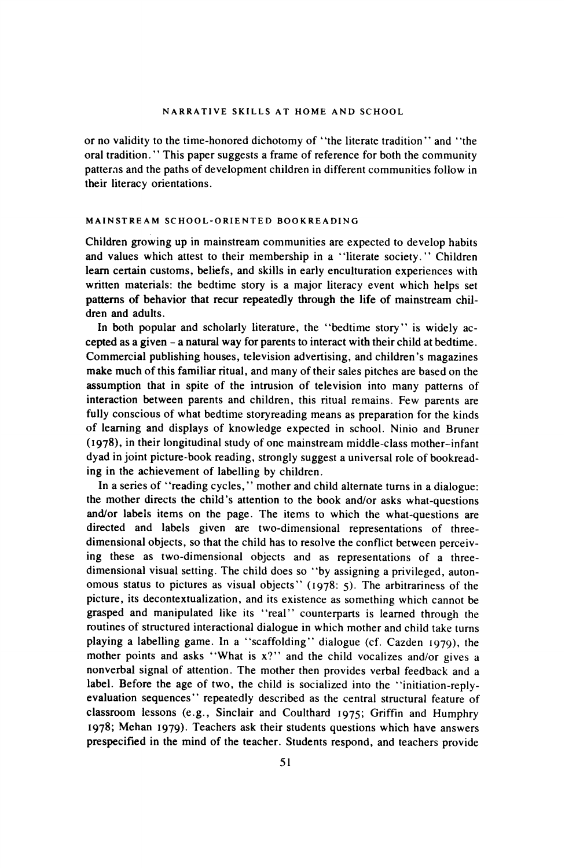**or no validity to the time-honored dichotomy of "the literate tradition'" and "the oral tradition." This paper suggests a frame of reference for both the community patterns and the paths of development children in different communities follow in their literacy orientations.** 

## **MAINSTREAM SCHOOL-ORIENTED BOOKREADING**

**Children growing up in mainstream communities are expected to develop habits and values which attest to their membership in a "literate society." Children learn certain customs, beliefs, and skills in early enculturation experiences with written materials: the bedtime story is a major literacy event which helps set patterns of behavior that recur repeatedly through the life of mainstream children and adults.** 

**In both popular and scholarly literature, the "bedtime story" is widely accepted as a given - a natural way for parents to interact with their child at bedtime. Commercial publishing houses, television advertising, and children's magazines make much of this familiar ritual, and many of their sales pitches are based on the assumption that in spite of the intrusion of television into many patterns of interaction between parents and children, this ritual remains. Few parents are fully conscious of what bedtime storyreading means as preparation for the kinds of learning and displays of knowledge expected in school. Ninio and Bruner (1978), in their longitudinal study of one mainstream middle-class mother-infant dyad in joint picture-book reading, strongly suggest a universal role of bookreading in the achievement of labelling by children.** 

**In a series of "reading cycles," mother and child alternate tums in a dialogue: the mother directs the child's attention to the book and/or asks what-questions and/or labels items on the page. The items to which the what-questions are directed and labels given are two-dimensional representations of threedimensional objects, so that the child has to resolve the conflict between perceiving these as two-dimensional objects and as representations of a threedimensional visual setting. The child does so "by assigning a privileged, autonomous status to pictures as visual objects" (1978: 5). The arbitrariness of the picture, its decontextualization, and its existence as something which cannot be grasped and manipulated like its "real" counterparts is learned through the routines of structured interactional dialogue in which mother and child take turns playing a labelling game. In a "scaffolding" dialogue (cf. Cazden 1979), the mother points and asks "What is x?" and the child vocalizes and/or gives a nonverbal signal of attention. The mother then provides verbal feedback and a label. Before the age of two, the child is socialized into the "'initiation-replyevaluation sequences" repeatedly described as the central structural feature of classroom lessons (e.g., Sinclair and Coulthard 1975; Griffin and Humphry 1978; Mehan 1979). Teachers ask their students questions which have answers prespecified in the mind of the teacher. Students respond, and teachers provide**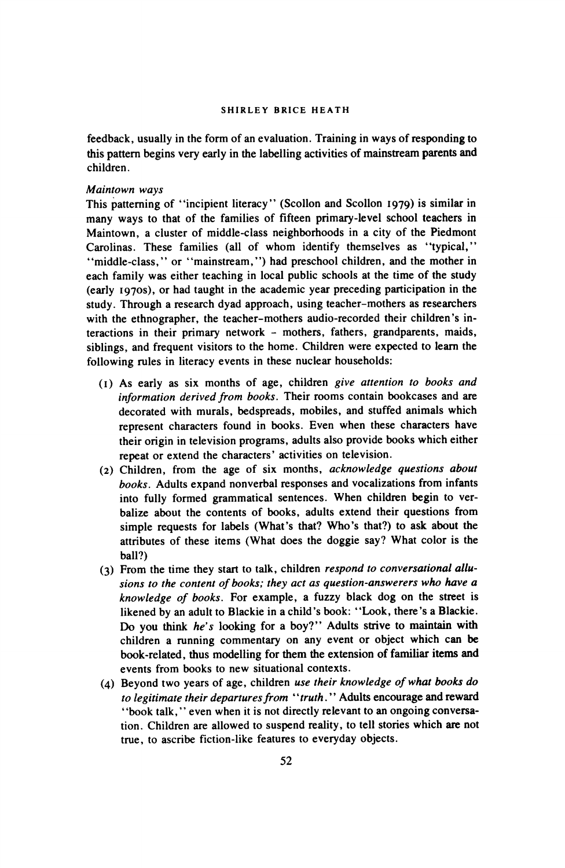**feedback, usually in the form of an evaluation. Training in ways of responding to this pattern begins very early in the labelling activities of mainstream parents and children.** 

# **Maintown ways**

**This patterning of "incipient literacy" (Scollon and Scollon I979) is similar in many ways to that of the families of fifteen primary-level school teachers in Maintown, a cluster of middle-class neighborhoods in a city of the Piedmont Carolinas. These families (all of whom identify themselves as "typical," "middle-class," or "mainstream,") had preschool children, and the mother in each family was either teaching in local public schools at the time of the study (early 1970s), or had taught in the academic year preceding participation in the study. Through a research dyad approach, using teacher-mothers as researchers with the ethnographer, the teacher-mothers audio-recorded their children's interactions in their primary network - mothers, fathers, grandparents, maids, siblings, and frequent visitors to the home. Children were expected to learn the following rules in literacy events in these nuclear households:** 

- **(i) As early as six months of age, children give attention to books and**  information derived from books. Their rooms contain bookcases and are **decorated with murals, bedspreads, mobiles, and stuffed animals which represent characters found in books. Even when these characters have their origin in television programs, adults also provide books which either repeat or extend the characters' activities on television.**
- **(2) Children, from the age of six months, acknowledge questions about books. Adults expand nonverbal responses and vocalizations from infants into fully formed grammatical sentences. When children begin to verbalize about the contents of books, adults extend their questions from simple requests for labels (What's that? Who's that?) to ask about the attributes of these items (What does the doggie say? What color is the ball?)**
- **(3) From the time they start to talk, children respond to conversational allusions to the content of books; they act as question-answerers who have a knowledge of books. For example, a fuzzy black dog on the street is likened by an adult to Blackie in a child's book: "Look, there's a Blackie. Do you think he's looking for a boy?" Adults strive to maintain with children a running commentary on any event or object which can be book-related, thus modelling for them the extension of familiar items and events from books to new situational contexts.**
- **(4) Beyond two years of age, children use their knowledge of what books do to legitimate their departures from "truth. " Adults encourage and reward "book talk,'" even when it is not directly relevant to an ongoing conversation. Children are allowed to suspend reality, to tell stories which are not true, to ascribe fiction-like features to everyday objects.**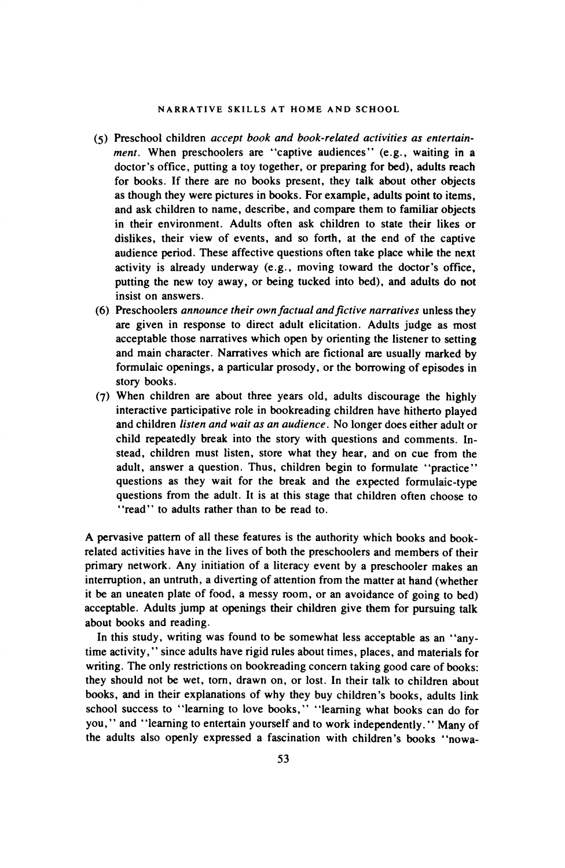- **(5) Preschool children accept book and book-related activities as entertainment. When preschoolers are "captive audiences" (e.g., waiting in a doctor's office, putting a toy together, or preparing for bed), adults reach for books. If there are no books present, they talk about other objects as though they were pictures in books. For example, adults point to items, and ask children to name, describe, and compare them to familiar objects in their environment. Adults often ask children to state their likes or dislikes, their view of events, and so forth, at the end of the captive audience period. These affective questions often take place while the next activity is already underway (e.g., moving toward the doctor's office, putting the new toy away, or being tucked into bed), and adults do not insist on answers.**
- **(6) Preschoolers announce their ownfactual andfictive narratives unless they are given in response to direct adult elicitation. Adults judge as most acceptable those narratives which open by orienting the listener to setting and main character. Narratives which are fictional are usually marked by formulaic openings, a particular prosody, or the borrowing of episodes in story books.**
- **(7) When children are about three years old, adults discourage the highly interactive participative role in bookreading children have hitherto played and children listen and wait as an audience. No longer does either adult or child repeatedly break into the story with questions and comments. Instead, children must listen, store what they hear, and on cue from the adult, answer a question. Thus, children begin to formulate "practice" questions as they wait for the break and the expected formulaic-type questions from the adult. It is at this stage that children often choose to "read" to adults rather than to be read to.**

**A pervasive pattern of all these features is the authority which books and bookrelated activities have in the lives of both the preschoolers and members of their primary network. Any initiation of a literacy event by a preschooler makes an interruption, an untruth, a diverting of attention from the matter at hand (whether it be an uneaten plate of food, a messy room, or an avoidance of going to bed) acceptable. Adults jump at openings their children give them for pursuing talk about books and reading.** 

**In this study, writing was found to be somewhat less acceptable as an "anytime activity," since adults have rigid rules about times, places, and materials for writing. The only restrictions on bookreading concern taking good care of books: they should not be wet, torn, drawn on, or lost. In their talk to children about books, and in their explanations of why they buy children's books, adults link school success to "learning to love books," "learning what books can do for you," and "learning to entertain yourself and to work independently." Many of the adults also openly expressed a fascination with children's books "nowa-**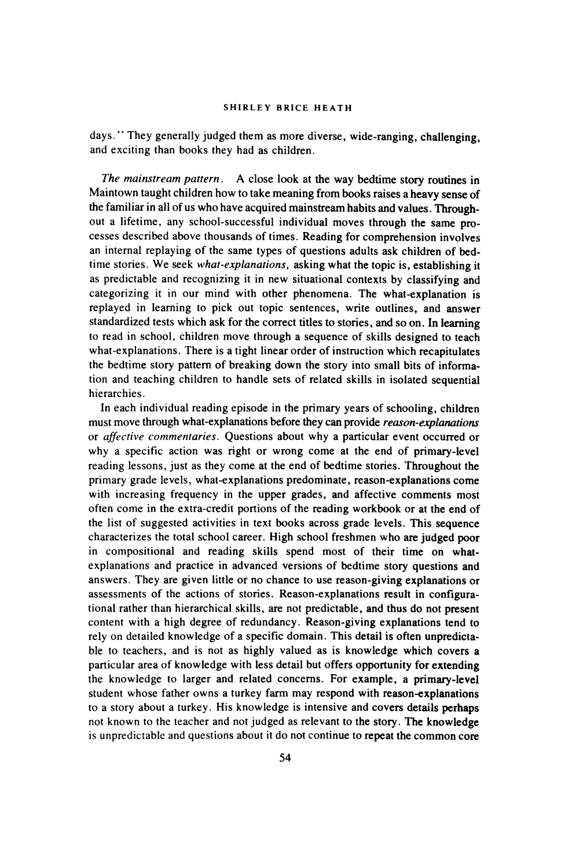**days.'" They generally judged them as more diverse, wide-ranging, challenging, and exciting than books they had as children.** 

**The mainstream pattern. A close look at the way bedtime story routines in Maintown taught children how to take meaning from books raises a heavy sense of the familiar in all of us who have acquired mainstream habits and values. Throughout a lifetime, any school-successful individual moves through the same processes described above thousands of times. Reading for comprehension involves an internal replaying of the same types of questions adults ask children of bedtime stories. We seek what-explanations, asking what the topic is, establishing it as predictable and recognizing it in new situational contexts by classifying and categorizing it in our mind with other phenomena. The what-explanation is replayed in learning to pick out topic sentences, write outlines, and answer standardized tests which ask for the correct titles to stories, and so on. In learning to read in school, children move through a sequence of skills designed to teach what-explanations. There is a tight linear order of instruction which recapitulates the bedtime story pattern of breaking down the story into small bits of information and teaching children to handle sets of related skills in isolated sequential hierarchies.** 

**In each individual reading episode in the primary years of schooling, children must move through what-explanations before they can provide reason-explanations or affective commentaries. Questions about why a particular event occurred or why a specific action was right or wrong come at the end of primary-level reading lessons, just as they come at the end of bedtime stories. Throughout the primary grade levels, what-explanations predominate, reason-explanations come with increasing frequency in the upper grades, and affective comments most often come in the extra-credit portions of the reading workbook or at the end of the list of suggested activities in text books across grade levels. This sequence characterizes the total school career. High school freshmen who are judged poor in compositional and reading skills spend most of their time on whatexplanations and practice in advanced versions of bedtime story questions and answers. They are given little or no chance to use reason-giving explanations or assessments of the actions of stories. Reason-explanations result in configurational rather than hierarchical skills, are not predictable, and thus do not present content with a high degree of redundancy. Reason-giving explanations tend to rely on detailed knowledge of a specific domain. This detail is often unpredictable to teachers, and is not as highly valued as is knowledge which covers a particular area of knowledge with less detail but offers opportunity for extending the knowledge to larger and related concerns. For example, a prmary-level student whose father owns a turkey farm may respond with reason-explanations to a story about a turkey. His knowledge is intensive and covers details perhaps not known to the teacher and not judged as relevant to the story. The knowledge is unpredictable and questions about it do not continue to repeat the common core**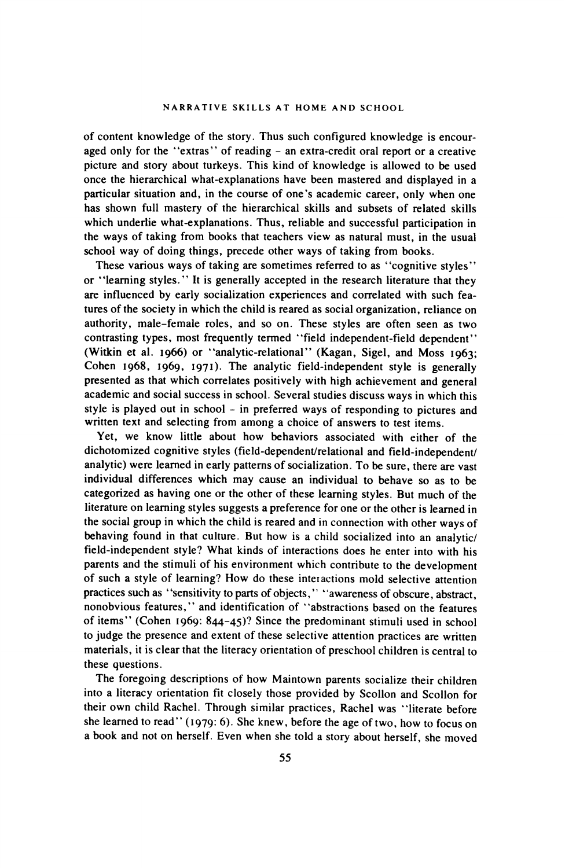**of content knowledge of the story. Thus such configured knowledge is encouraged only for the "extras" of reading - an extra-credit oral report or a creative picture and story about turkeys. This kind of knowledge is allowed to be used once the hierarchical what-explanations have been mastered and displayed in a particular situation and, in the course of one's academic career, only when one has shown full mastery of the hierarchical skills and subsets of related skills which underlie what-explanations. Thus, reliable and successful participation in the ways of taking from books that teachers view as natural must, in the usual school way of doing things, precede other ways of taking from books.** 

**These various ways of taking are sometimes referred to as "cognitive styles" or "learning styles." It is generally accepted in the research literature that they are influenced by early socialization experiences and correlated with such features of the society in which the child is reared as social organization, reliance on authority, male-female roles, and so on. These styles are often seen as two contrasting types, most frequently termed "field independent-field dependent" (Witkin et al. i966) or "analytic-relational" (Kagan, Sigel, and Moss I963; Cohen I968, I969, 1971). The analytic field-independent style is generally presented as that which correlates positively with high achievement and general academic and social success in school. Several studies discuss ways in which this style is played out in school - in preferred ways of responding to pictures and written text and selecting from among a choice of answers to test items.** 

**Yet, we know little about how behaviors associated with either of the dichotomized cognitive styles (field-dependent/relational and field-independent/ analytic) were learned in early patterns of socialization. To be sure, there are vast individual differences which may cause an individual to behave so as to be categorized as having one or the other of these learning styles. But much of the literature on learning styles suggests a preference for one or the other is learned in the social group in which the child is reared and in connection with other ways of behaving found in that culture. But how is a child socialized into an analytic/ field-independent style? What kinds of interactions does he enter into with his parents and the stimuli of his environment which contribute to the development of such a style of learning? How do these inteiactions mold selective attention practices such as "sensitivity to parts of objects, ' "awareness of obscure, abstract, nonobvious features, " and identification of "abstractions based on the features of items" (Cohen 1969: 844-45)? Since the predominant stimuli used in school to judge the presence and extent of these selective attention practices are written materials, it is clear that the literacy orientation of preschool children is central to these questions.** 

**The foregoing descriptions of how Maintown parents socialize their children into a literacy orientation fit closely those provided by Scollon and Scollon for their own child Rachel. Through similar practices, Rachel was "literate before she learned to read" (1979: 6). She knew, before the age of two, how to focus on a book and not on herself. Even when she told a story about herself, she moved**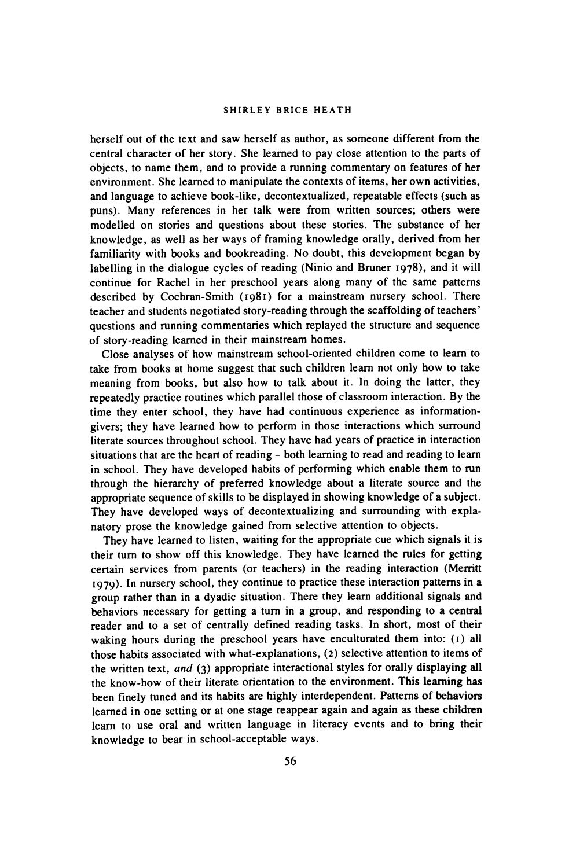**herself out of the text and saw herself as author, as someone different from the central character of her story. She learned to pay close attention to the parts of objects, to name them, and to provide a running commentary on features of her environment. She learned to manipulate the contexts of items, her own activities, and language to achieve book-like, decontextualized, repeatable effects (such as puns). Many references in her talk were from written sources; others were modelled on stories and questions about these stories. The substance of her knowledge, as well as her ways of framing knowledge orally, derived from her familiarity with books and bookreading. No doubt, this development began by labelling in the dialogue cycles of reading (Ninio and Bruner 1978), and it will continue for Rachel in her preschool years along many of the same patterns described by Cochran-Smith (I98i) for a mainstream nursery school. There teacher and students negotiated story-reading through the scaffolding of teachers' questions and running commentaries which replayed the structure and sequence of story-reading learned in their mainstream homes.** 

**Close analyses of how mainstream school-oriented children come to learn to take from books at home suggest that such children learn not only how to take meaning from books, but also how to talk about it. In doing the latter, they repeatedly practice routines which parallel those of classroom interaction. By the time they enter school, they have had continuous experience as informationgivers; they have learned how to perform in those interactions which surround literate sources throughout school. They have had years of practice in interaction situations that are the heart of reading - both learning to read and reading to learn in school. They have developed habits of performing which enable them to run through the hierarchy of preferred knowledge about a literate source and the appropriate sequence of skills to be displayed in showing knowledge of a subject. They have developed ways of decontextualizing and surrounding with explanatory prose the knowledge gained from selective attention to objects.** 

**They have learned to listen, waiting for the appropriate cue which signals it is their turn to show off this knowledge. They have learned the rules for getting certain services from parents (or teachers) in the reading interaction (Merritt 1979). In nursery school, they continue to practice these interaction patterns in a group rather than in a dyadic situation. There they learn additional signals and behaviors necessary for getting a turn in a group, and responding to a central reader and to a set of centrally defined reading tasks. In short, most of their waking hours during the preschool years have enculturated them into: (i) all those habits associated with what-explanations, (2) selective attention to items of the written text, and (3) appropriate interactional styles for orally displaying all the know-how of their literate orientation to the environment. This learning has been finely tuned and its habits are highly interdependent. Patterns of behaviors learned in one setting or at one stage reappear again and again as these children learn to use oral and written language in literacy events and to bring their knowledge to bear in school-acceptable ways.**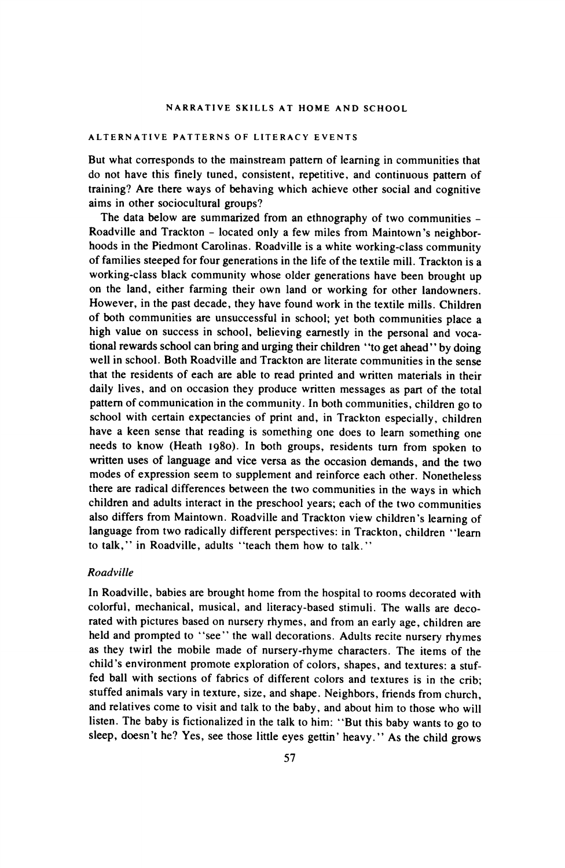# **ALTERNATIVE PATTERNS OF LITERACY EVENTS**

**But what corresponds to the mainstream pattern of learning in communities that do not have this finely tuned, consistent, repetitive, and continuous pattern of training? Are there ways of behaving which achieve other social and cognitive aims in other sociocultural groups?** 

**The data below are summarized from an ethnography of two communities - Roadville and Trackton - located only a few miles from Maintown's neighborhoods in the Piedmont Carolinas. Roadville is a white working-class community of families steeped for four generations in the life of the textile mill. Trackton is a working-class black community whose older generations have been brought up on the land, either farming their own land or working for other landowners. However, in the past decade, they have found work in the textile mills. Children of both communities are unsuccessful in school; yet both communities place a high value on success in school, believing earnestly in the personal and vocational rewards school can bring and urging their children "to get ahead" by doing well in school. Both Roadville and Trackton are literate communities in the sense that the residents of each are able to read printed and written materials in their daily lives, and on occasion they produce written messages as part of the total pattern of communication in the community. In both communities, children go to school with certain expectancies of print and, in Trackton especially, children have a keen sense that reading is something one does to learn something one needs to know (Heath ig80). In both groups, residents turn from spoken to written uses of language and vice versa as the occasion demands, and the two modes of expression seem to supplement and reinforce each other. Nonetheless there are radical differences between the two communities in the ways in which children and adults interact in the preschool years; each of the two communities also differs from Maintown. Roadville and Trackton view children's learning of**  language from two radically different perspectives: in Trackton, children "learn **to talk," in Roadville, adults "teach them how to talk."** 

# **Roadville**

**In Roadville, babies are brought home from the hospital to rooms decorated with colorful, mechanical, musical, and literacy-based stimuli. The walls are decorated with pictures based on nursery rhymes, and from an early age, children are held and prompted to "see" the wall decorations. Adults recite nursery rhymes as they twirl the mobile made of nursery-rhyme characters. The items of the child's environment promote exploration of colors, shapes, and textures: a stuffed ball with sections of fabrics of different colors and textures is in the crib; stuffed animals vary in texture, size, and shape. Neighbors, friends from church, and relatives come to visit and talk to the baby, and about him to those who will listen. The baby is fictionalized in the talk to him: "But this baby wants to go to sleep, doesn't he? Yes, see those little eyes gettin' heavy." As the child grows**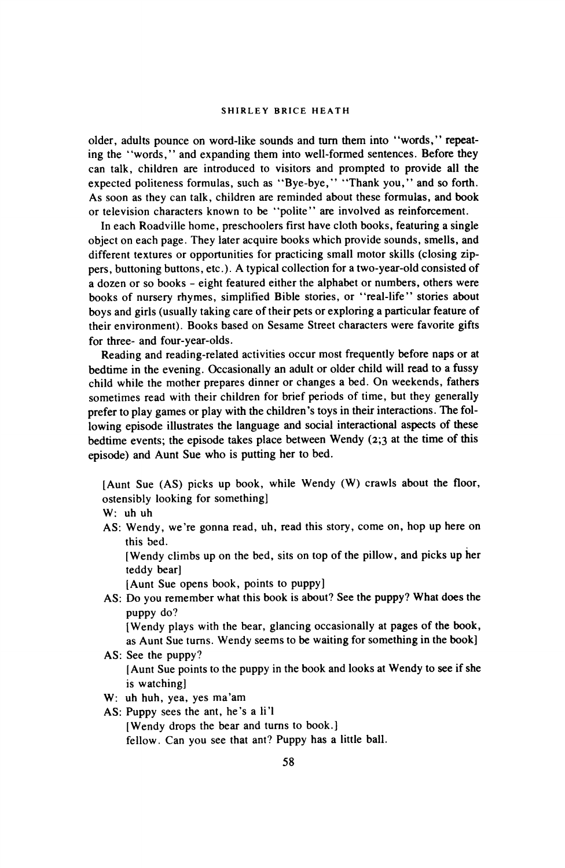**older, adults pounce on word-like sounds and turn them into "words," repeating the "words," and expanding them into well-formed sentences. Before they can talk, children are introduced to visitors and prompted to provide all the expected politeness formulas, such as "Bye-bye," "Thank you," and so forth. As soon as they can talk, children are reminded about these formulas, and book or television characters known to be "polite" are involved as reinforcement.** 

**In each Roadville home, preschoolers first have cloth books, featuring a single object on each page. They later acquire books which provide sounds, smells, and different textures or opportunities for practicing small motor skills (closing zippers, buttoning buttons, etc.). A typical collection for a two-year-old consisted of a dozen or so books - eight featured either the alphabet or numbers, others were books of nursery rhymes, simplified Bible stories, or "real-life" stories about boys and girls (usually taking care of their pets or exploring a particular feature of their environment). Books based on Sesame Street characters were favorite gifts for three- and four-year-olds.** 

**Reading and reading-related activities occur most frequently before naps or at bedtime in the evening. Occasionally an adult or older child will read to a fussy child while the mother prepares dinner or changes a bed. On weekends, fathers sometimes read with their children for brief periods of time, but they generally prefer to play games or play with the children's toys in their interactions. The following episode illustrates the language and social interactional aspects of these bedtime events; the episode takes place between Wendy (2;3 at the time of this episode) and Aunt Sue who is putting her to bed.** 

**[Aunt Sue (AS) picks up book, while Wendy (W) crawls about the floor, ostensibly looking for something]** 

**W: uh uh** 

**AS: Wendy, we're gonna read, uh, read this story, come on, hop up here on this bed.** 

**[Wendy climbs up on the bed, sits on top of the pillow, and picks up her teddy bear]** 

**[Aunt Sue opens book, points to puppy]** 

**AS: Do you remember what this book is about? See the puppy? What does the puppy do?** 

**[Wendy plays with the bear, glancing occasionally at pages of the book, as Aunt Sue turns. Wendy seems to be waiting for something in the book]** 

- **AS: See the puppy? I Aunt Sue points to the puppy in the book and looks at Wendy to see if she is watching]**
- **W: uh huh, yea, yes ma'am**
- **AS: Puppy sees the ant, he's a li'l**

**[Wendy drops the bear and turns to book.]** 

**fellow. Can you see that ant? Puppy has a little ball.**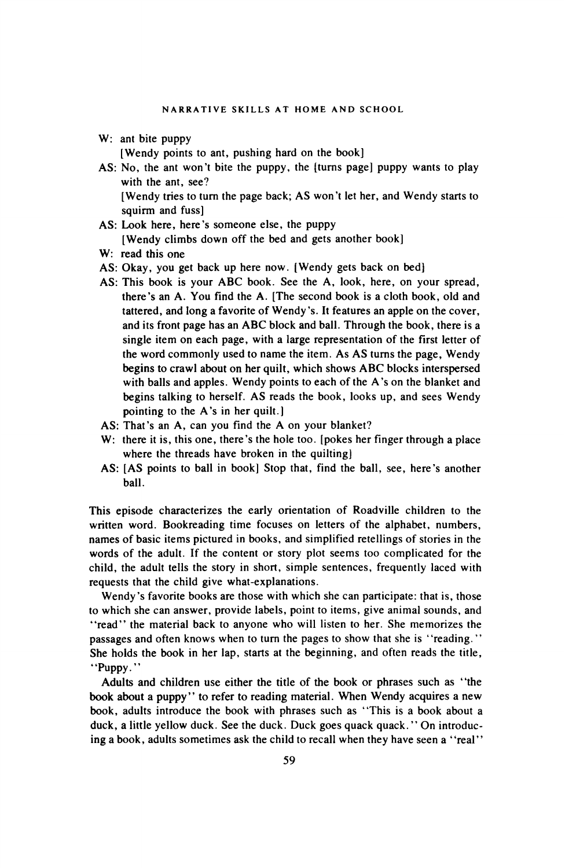**W: ant bite puppy** 

**[Wendy points to ant, pushing hard on the book]** 

- **AS: No, the ant won't bite the puppy, the (turns page] puppy wants to play with the ant, see? [Wendy tries to turn the page back; AS won't let her, and Wendy starts to**
- **squirm and fuss] AS: Look here, here's someone else, the puppy [Wendy climbs down off the bed and gets another book]**
- **W: read this one**
- **AS: Okay, you get back up here now. [Wendy gets back on bed]**
- **AS: This book is your ABC book. See the A, look, here, on your spread, there's an A. You find the A. [The second book is a cloth book, old and tattered, and long a favorite of Wendy's. It features an apple on the cover, and its front page has an ABC block and ball. Through the book, there is a single item on each page, with a large representation of the first letter of the word commonly used to name the item. As AS tums the page, Wendy begins to crawl about on her quilt, which shows ABC blocks interspersed with balls and apples. Wendy points to each of the A's on the blanket and begins talking to herself. AS reads the book, looks up, and sees Wendy pointing to the A's in her quilt.]**
- **AS: That's an A, can you find the A on your blanket?**
- **W: there it is, this one, there's the hole too. [pokes her finger through a place where the threads have broken in the quilting]**
- **AS: [AS points to ball in book] Stop that, find the ball, see, here's another ball.**

**This episode characterizes the early orientation of Roadville children to the written word. Bookreading time focuses on letters of the alphabet, numbers, names of basic items pictured in books, and simplified retellings of stories in the words of the adult. If the content or story plot seems too complicated for the child, the adult tells the story in short, simple sentences, frequently laced with requests that the child give what-explanations.** 

**Wendy's favorite books are those with which she can participate: that is, those to which she can answer, provide labels, point to items, give animal sounds, and**  "read" the material back to anyone who will listen to her. She memorizes the **passages and often knows when to turn the pages to show that she is "reading." She holds the book in her lap, starts at the beginning, and often reads the title, "Puppy. "** 

**Adults and children use either the title of the book or phrases such as "the book about a puppy" to refer to reading material. When Wendy acquires a new book, adults introduce the book with phrases such as "This is a book about a duck, a little yellow duck. See the duck. Duck goes quack quack.'" On introducing a book, adults sometimes ask the child to recall when they have seen a "real"**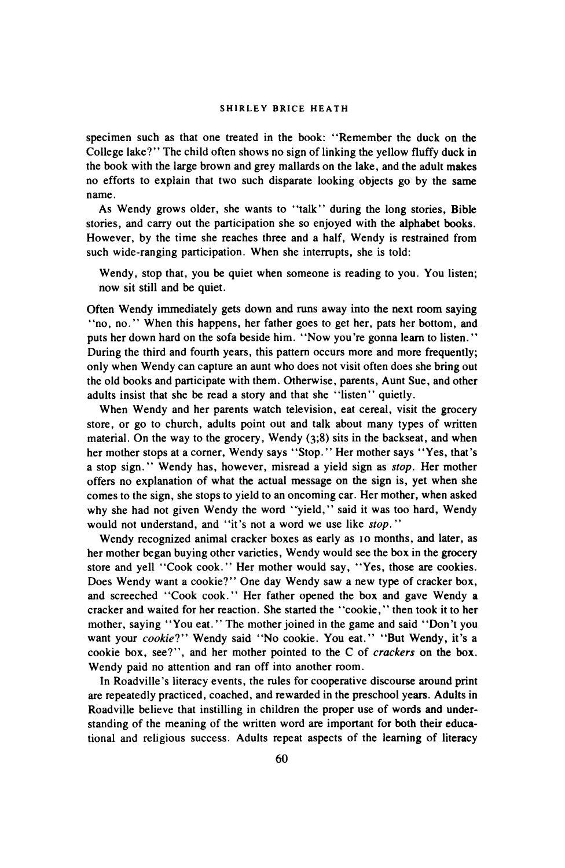**specimen such as that one treated in the book: "Remember the duck on the College lake?" The child often shows no sign of linking the yellow fluffy duck in the book with the large brown and grey mallards on the lake, and the adult makes no efforts to explain that two such disparate looking objects go by the same name.** 

**As Wendy grows older, she wants to '"talk" during the long stories, Bible stories, and carry out the participation she so enjoyed with the alphabet books. However, by the time she reaches three and a half, Wendy is restrained from such wide-ranging participation. When she interrupts, she is told:** 

**Wendy, stop that, you be quiet when someone is reading to you. You listen; now sit still and be quiet.** 

**Often Wendy immediately gets down and runs away into the next room saying "'no, no.'" When this happens, her father goes to get her, pats her bottom, and puts her down hard on the sofa beside him. "Now you're gonna leam to listen." During the third and fourth years, this pattern occurs more and more frequently; only when Wendy can capture an aunt who does not visit often does she bring out the old books and participate with them. Otherwise, parents, Aunt Sue, and other adults insist that she be read a story and that she "listen'" quietly.** 

**When Wendy and her parents watch television, eat cereal, visit the grocery store, or go to church, adults point out and talk about many types of written material. On the way to the grocery, Wendy (3;8) sits in the backseat, and when her mother stops at a corner, Wendy says "Stop." Her mother says "Yes, that's a stop sign." Wendy has, however, misread a yield sign as stop. Her mother offers no explanation of what the actual message on the sign is, yet when she comes to the sign, she stops to yield to an oncoming car. Her mother, when asked why she had not given Wendy the word "yield," said it was too hard, Wendy would not understand, and "it's not a word we use like stop."** 

**Wendy recognized animal cracker boxes as early as io months, and later, as her mother began buying other varieties, Wendy would see the box in the grocery store and yell "Cook cook." Her mother would say, "Yes, those are cookies. Does Wendy want a cookie?" One day Wendy saw a new type of cracker box, and screeched "Cook cook.'" Her father opened the box and gave Wendy a cracker and waited for her reaction. She started the "cookie," then took it to her mother, saying "You eat. " The mother joined in the game and said "Don't you want your cookie?" Wendy said "No cookie. You eat." "But Wendy, it's a cookie box, see?", and her mother pointed to the C of crackers on the box. Wendy paid no attention and ran off into another room.** 

**In Roadville's literacy events, the rules for cooperative discourse around print are repeatedly practiced, coached, and rewarded in the preschool years. Adults in Roadville believe that instilling in children the proper use of words and understanding of the meaning of the written word are important for both their educational and religious success. Adults repeat aspects of the learning of literacy**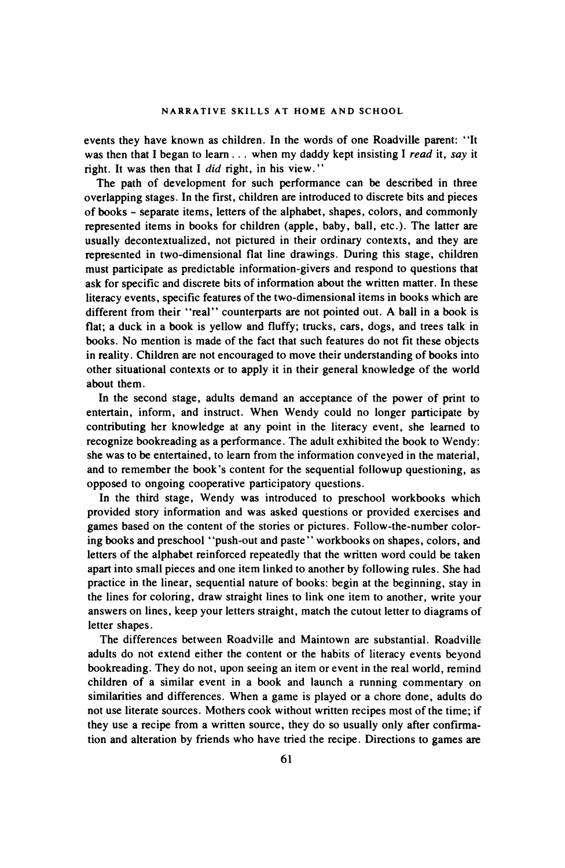**events they have known as children. In the words of one Roadville parent: "It**  was then that I began to learn . . . when my daddy kept insisting I *read* it, say it **right. It was then that I did right, in his view."** 

**The path of development for such performance can be described in three overlapping stages. In the first, children are introduced to discrete bits and pieces of books - separate items, letters of the alphabet, shapes, colors, and commonly represented items in books for children (apple, baby, ball, etc.). The latter are usually decontextualized, not pictured in their ordinary contexts, and they are represented in two-dimensional flat line drawings. During this stage, children must participate as predictable information-givers and respond to questions that ask for specific and discrete bits of information about the written matter. In these literacy events, specific features of the two-dimensional items in books which are different from their "real" counterparts are not pointed out. A ball in a book is flat; a duck in a book is yellow and fluffy; trucks, cars, dogs, and trees talk in books. No mention is made of the fact that such features do not fit these objects in reality. Children are not encouraged to move their understanding of books into other situational contexts or to apply it in their general knowledge of the world about them.** 

**In the second stage, adults demand an acceptance of the power of print to entertain, inform, and instruct. When Wendy could no longer participate by contributing her knowledge at any point in the literacy event, she learned to recognize bookreading as a performance. The adult exhibited the book to Wendy: she was to be entertained, to learn from the information conveyed in the material, and to remember the book's content for the sequential followup questioning, as opposed to ongoing cooperative participatory questions.** 

**In the third stage, Wendy was introduced to preschool workbooks which provided story information and was asked questions or provided exercises and games based on the content of the stories or pictures. Follow-the-number coloring books and preschool "push-out and paste" workbooks on shapes, colors, and letters of the alphabet reinforced repeatedly that the written word could be taken apart into small pieces and one item linked to another by following rules. She had practice in the linear, sequential nature of books: begin at the beginning, stay in the lines for coloring, draw straight lines to link one item to another, write your answers on lines, keep your letters straight, match the cutout letter to diagrams of letter shapes.** 

**The differences between Roadville and Maintown are substantial. Roadville adults do not extend either the content or the habits of literacy events beyond bookreading. They do not, upon seeing an item or event in the real world, remind children of a similar event in a book and launch a running commentary on similarities and differences. When a game is played or a chore done, adults do not use literate sources. Mothers cook without written recipes most of the time; if they use a recipe from a written source, they do so usually only after confirmation and alteration by friends who have tried the recipe. Directions to games are**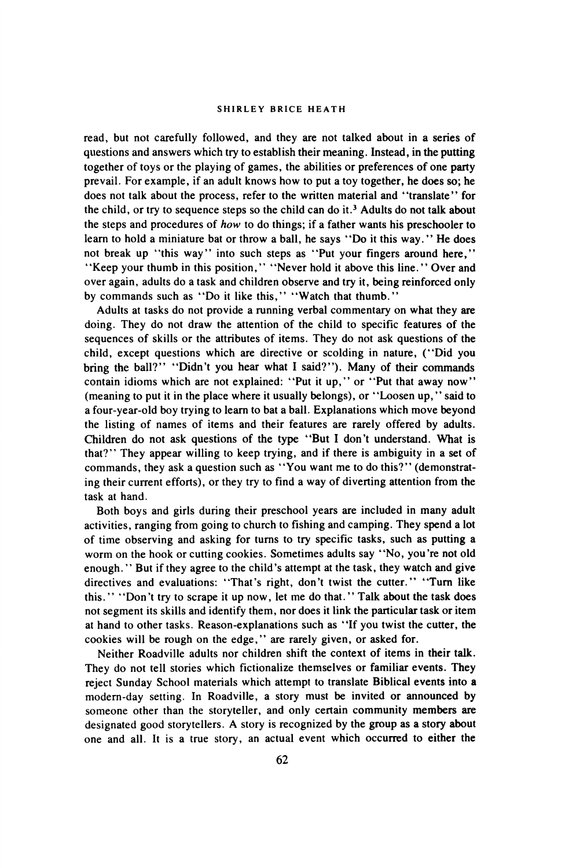**read, but not carefully followed, and they are not talked about in a series of questions and answers which try to establish their meaning. Instead, in the putting together of toys or the playing of games, the abilities or preferences of one party prevail. For example, if an adult knows how to put a toy together, he does so; he does not talk about the process, refer to the written material and "translate" for the child, or try to sequence steps so the child can do it.3 Adults do not talk about the steps and procedures of how to do things; if a father wants his preschooler to learn to hold a miniature bat or throw a ball, he says "Do it this way." He does**  not break up "this way" into such steps as "Put your fingers around here," **"Keep your thumb in this position," "Never hold it above this line." Over and over again, adults do a task and children observe and try it, being reinforced only by commands such as "Do it like this," "Watch that thumb."** 

**Adults at tasks do not provide a running verbal commentary on what they are doing. They do not draw the attention of the child to specific features of the sequences of skills or the attributes of items. They do not ask questions of the child, except questions which are directive or scolding in nature, ("Did you bring the ball?" "Didn't you hear what I said?"). Many of their commands contain idioms which are not explained: "Put it up," or "'Put that away now" (meaning to put it in the place where it usually belongs), or "Loosen up," said to a four-year-old boy trying to learn to bat a ball. Explanations which move beyond the listing of names of items and their features are rarely offered by adults. Children do not ask questions of the type "But I don't understand. What is that?'" They appear willing to keep trying, and if there is ambiguity in a set of commands, they ask a question such as "You want me to do this?" (demonstrating their current efforts), or they try to find a way of diverting attention from the task at hand.** 

**Both boys and girls during their preschool years are included in many adult activities, ranging from going to church to fishing and camping. They spend a lot of time observing and asking for turns to try specific tasks, such as putting a worm on the hook or cutting cookies. Sometimes adults say "No, you're not old enough. " But if they agree to the child's attempt at the task, they watch and give directives and evaluations: "That's right, don't twist the cutter." "Turn like this.'" "'Don't try to scrape it up now, let me do that." Talk about the task does not segment its skills and identify them, nor does it link the particular task or item at hand to other tasks. Reason-explanations such as "If you twist the cutter, the cookies will be rough on the edge," are rarely given, or asked for.** 

**Neither Roadville adults nor children shift the context of items in their talk. They do not tell stories which fictionalize themselves or familiar events. They reject Sunday School materials which attempt to translate Biblical events into a modern-day setting. In Roadville, a story must be invited or announced by someone other than the storyteller, and only certain community members are designated good storytellers. A story is recognized by the group as a story about one and all. It is a true story, an actual event which occurred to either the**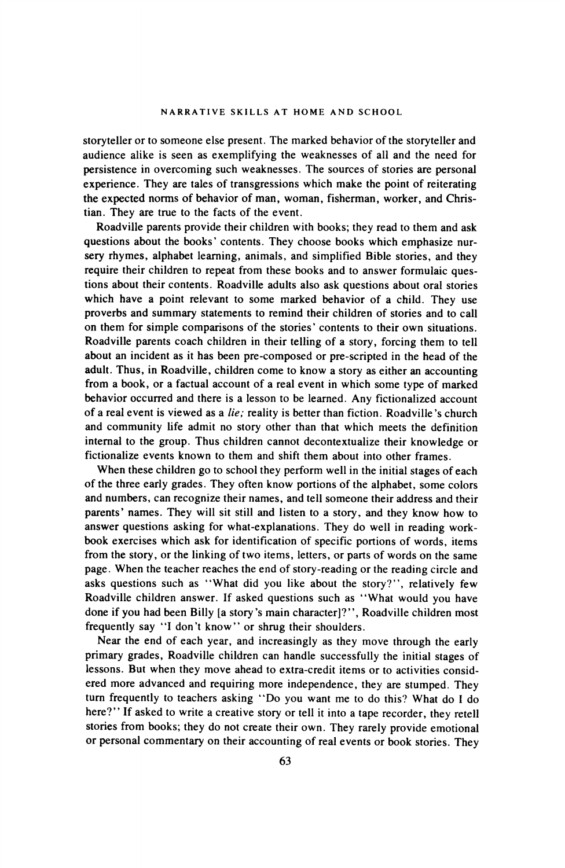**storyteller or to someone else present. The marked behavior of the storyteller and audience alike is seen as exemplifying the weaknesses of all and the need for persistence in overcoming such weaknesses. The sources of stories are personal experience. They are tales of transgressions which make the point of reiterating the expected norms of behavior of man, woman, fisherman, worker, and Christian. They are true to the facts of the event.** 

**Roadville parents provide their children with books; they read to them and ask questions about the books' contents. They choose books which emphasize nursery rhymes, alphabet learning, animals, and simplified Bible stories, and they require their children to repeat from these books and to answer formulaic questions about their contents. Roadville adults also ask questions about oral stories which have a point relevant to some marked behavior of a child. They use proverbs and summary statements to remind their children of stories and to call on them for simple comparisons of the stories' contents to their own situations. Roadville parents coach children in their telling of a story, forcing them to tell about an incident as it has been pre-composed or pre-scripted in the head of the adult. Thus, in Roadville, children come to know a story as either an accounting from a book, or a factual account of a real event in which some type of marked behavior occurred and there is a lesson to be learned. Any fictionalized account of a real event is viewed as a lie; reality is better than fiction. Roadville's church and community life admit no story other than that which meets the definition internal to the group. Thus children cannot decontextualize their knowledge or fictionalize events known to them and shift them about into other frames.** 

**When these children go to school they perform well in the initial stages of each of the three early grades. They often know portions of the alphabet, some colors and numbers, can recognize their names, and tell someone their address and their parents' names. They will sit still and listen to a story, and they know how to answer questions asking for what-explanations. They do well in reading workbook exercises which ask for identification of specific portions of words, items from the story, or the linking of two items, letters, or parts of words on the same page. When the teacher reaches the end of story-reading or the reading circle and asks questions such as "What did you like about the story?", relatively few Roadville children answer. If asked questions such as "What would you have done if you had been Billy [a story's main character]?", Roadville children most frequently say "I don't know" or shrug their shoulders.** 

**Near the end of each year, and increasingly as they move through the early primary grades, Roadville children can handle successfully the initial stages of lessons. But when they move ahead to extra-credit items or to activities considered more advanced and requiring more independence, they are stumped. They turn frequently to teachers asking "Do you want me to do this? What do I do here?" If asked to write a creative story or tell it into a tape recorder, they retell stories from books; they do not create their own. They rarely provide emotional or personal commentary on their accounting of real events or book stories. They**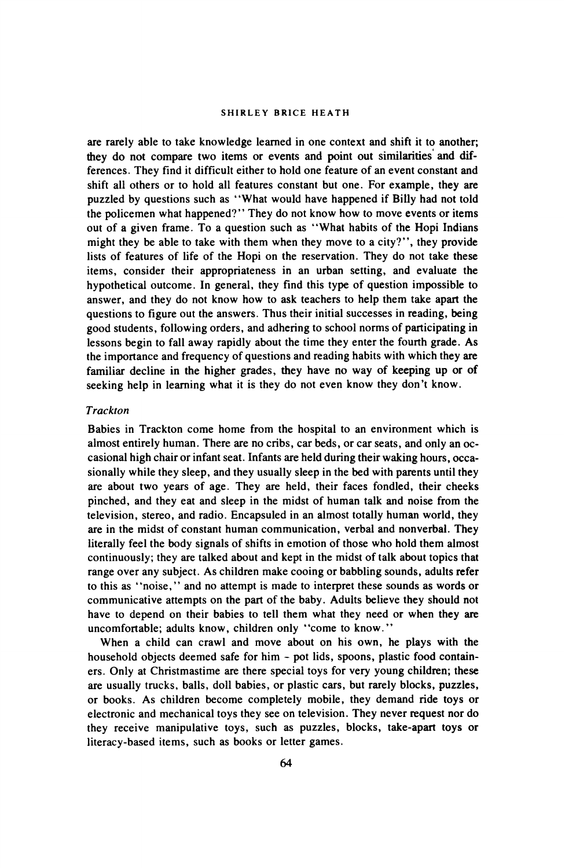**are rarely able to take knowledge learned in one context and shift it to another; they do not compare two items or events and point out similarities and differences. They find it difficult either to hold one feature of an event constant and shift all others or to hold all features constant but one. For example, they are puzzled by questions such as "What would have happened if Billy had not told the policemen what happened?" They do not know how to move events or items out of a given frame. To a question such as "What habits of the Hopi Indians might they be able to take with them when they move to a city?", they provide lists of features of life of the Hopi on the reservation. They do not take these items, consider their appropriateness in an urban setting, and evaluate the hypothetical outcome. In general, they find this type of question impossible to answer, and they do not know how to ask teachers to help them take apart the questions to figure out the answers. Thus their initial successes in reading, being good students, following orders, and adhering to school norms of participating in lessons begin to fall away rapidly about the time they enter the fourth grade. As the importance and frequency of questions and reading habits with which they are familiar decline in the higher grades, they have no way of keeping up or of seeking help in learning what it is they do not even know they don't know.** 

# **Trackton**

**Babies in Trackton come home from the hospital to an environment which is almost entirely human. There are no cribs, car beds, or car seats, and only an occasional high chair or infant seat. Infants are held during their waking hours, occasionally while they sleep, and they usually sleep in the bed with parents until they are about two years of age. They are held, their faces fondled, their cheeks pinched, and they eat and sleep in the midst of human talk and noise from the television, stereo, and radio. Encapsuled in an almost totally human world, they are in the midst of constant human communication, verbal and nonverbal. They literally feel the body signals of shifts in emotion of those who hold them almost continuously; they are talked about and kept in the midst of talk about topics that range over any subject. As children make cooing or babbling sounds, adults refer to this as "noise," and no attempt is made to interpret these sounds as words or communicative attempts on the part of the baby. Adults believe they should not have to depend on their babies to tell them what they need or when they are uncomfortable; adults know, children only "come to know."** 

**When a child can crawl and move about on his own, he plays with the household objects deemed safe for him - pot lids, spoons, plastic food containers. Only at Christmastime are there special toys for very young children; these are usually trucks, balls, doll babies, or plastic cars, but rarely blocks, puzzles, or books. As children become completely mobile, they demand ride toys or electronic and mechanical toys they see on television. They never request nor do they receive manipulative toys, such as puzzles, blocks, take-apart toys or literacy-based items, such as books or letter games.**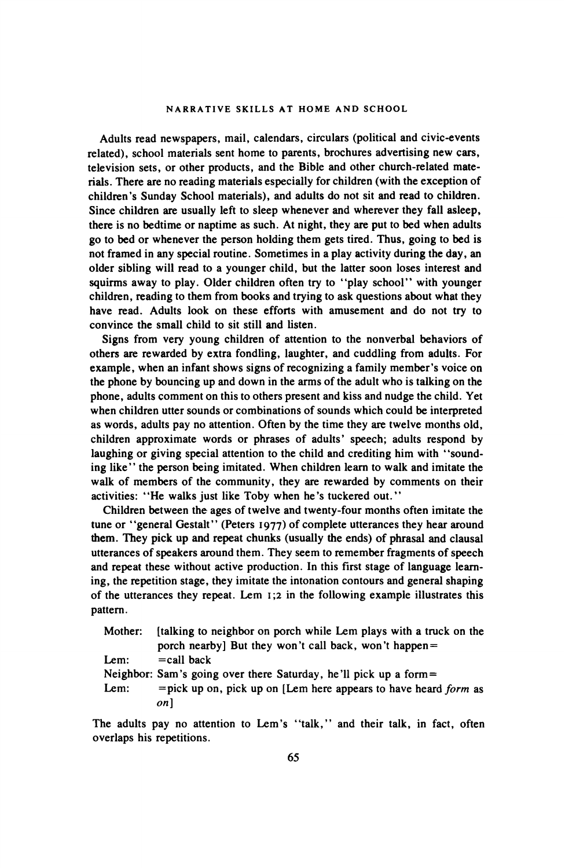**Adults read newspapers, mail, calendars, circulars (political and civic-events related), school materials sent home to parents, brochures advertising new cars, television sets, or other products, and the Bible and other church-related materials. There are no reading materials especially for children (with the exception of children's Sunday School materials), and adults do not sit and read to children. Since children are usually left to sleep whenever and wherever they fall asleep, there is no bedtime or naptime as such. At night, they are put to bed when adults go to bed or whenever the person holding them gets tired. Thus, going to bed is not framed in any special routine. Sometimes in a play activity during the day, an older sibling will read to a younger child, but the latter soon loses interest and squirms away to play. Older children often try to "play school" with younger children, reading to them from books and trying to ask questions about what they have read. Adults look on these efforts with amusement and do not try to convince the small child to sit still and listen.** 

**Signs from very young children of attention to the nonverbal behaviors of others are rewarded by extra fondling, laughter, and cuddling from adults. For example, when an infant shows signs of recognizing a family member's voice on the phone by bouncing up and down in the arms of the adult who is talking on the phone, adults comment on this to others present and kiss and nudge the child. Yet when children utter sounds or combinations of sounds which could be interpreted as words, adults pay no attention. Often by the time they are twelve months old, children approximate words or phrases of adults' speech; adults respond by laughing or giving special attention to the child and crediting him with "sounding like" the person being imitated. When children learn to walk and imitate the walk of members of the community, they are rewarded by comments on their activities: "He walks just like Toby when he's tuckered out."** 

**Children between the ages of twelve and twenty-four months often imitate the tune or "general Gestalt" (Peters 1977) of complete utterances they hear around them. They pick up and repeat chunks (usually the ends) of phrasal and clausal utterances of speakers around them. They seem to remember fragments of speech and repeat these without active production. In this first stage of language learning, the repetition stage, they imitate the intonation contours and general shaping**  of the utterances they repeat. Lem 1;2 in the following example illustrates this **pattern.** 

| Mother: | Italking to neighbor on porch while Lem plays with a truck on the  |
|---------|--------------------------------------------------------------------|
|         | porch nearby] But they won't call back, won't happen $=$           |
| Lem:    | $=$ call back                                                      |
|         | Neighbor: Sam's going over there Saturday, he'll pick up a form=   |
| Lem:    | $=$ pick up on, pick up on [Lem here appears to have heard form as |
|         | on <sub>1</sub>                                                    |

**The adults pay no attention to Lem's "talk," and their talk, in fact, often overlaps his repetitions.**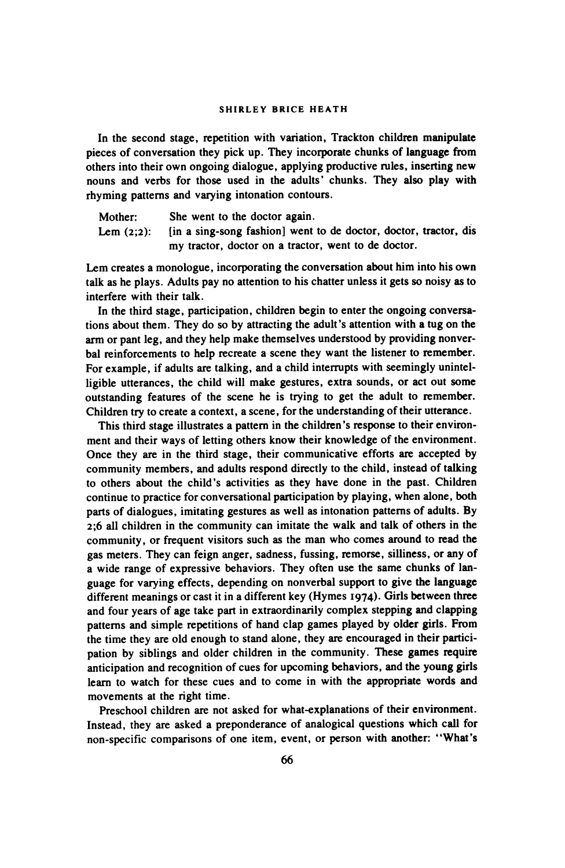**In the second stage, repetition with variation, Trackton children manipulate pieces of conversation they pick up. They incorporate chunks of language from others into their own ongoing dialogue, applying productive rules, inserting new nouns and verbs for those used in the adults' chunks. They also play with rhyming patterns and varying intonation contours.** 

**Mother: She went to the doctor again. Lem (2;2): [in a sing-song fashion] went to de doctor, doctor, tractor, dis my tractor, doctor on a tractor, went to de doctor.** 

**Lem creates a monologue, incorporating the conversation about him into his own talk as he plays. Adults pay no attention to his chatter unless it gets so noisy as to interfere with their talk.** 

**In the third stage, participation, children begin to enter the ongoing conversations about them. They do so by attracting the adult's attention with a tug on the arm or pant leg, and they help make themselves understood by providing nonverbal reinforcements to help recreate a scene they want the listener to remember. For example, if adults are talking, and a child interrupts with seemingly unintelligible utterances, the child will make gestures, extra sounds, or act out some outstanding features of the scene he is trying to get the adult to remember. Children try to create a context, a scene, for the understanding of their utterance.** 

**This third stage illustrates a pattern in the children's response to their environment and their ways of letting others know their knowledge of the environment. Once they are in the third stage, their communicative efforts are accepted by community members, and adults respond directly to the child, instead of talking to others about the child's activities as they have done in the past. Children continue to practice for conversational participation by playing, when alone, both parts of dialogues, imitating gestures as well as intonation patterns of adults. By 2;6 all children in the community can imitate the walk and talk of others in the community, or frequent visitors such as the man who comes around to read the gas meters. They can feign anger, sadness, fussing, remorse, silliness, or any of a wide range of expressive behaviors. They often use the same chunks of language for varying effects, depending on nonverbal support to give the language different meanings or cast it in a different key (Hymes I974). Girls between three and four years of age take part in extraordinarily complex stepping and clapping patterns and simple repetitions of hand clap games played by older girls. From the time they are old enough to stand alone, they are encouraged in their participation by siblings and older children in the community. These games require anticipation and recognition of cues for upcoming behaviors, and the young girls learn to watch for these cues and to come in with the appropriate words and movements at the right time.** 

**Preschool children are not asked for what-explanations of their environment. Instead, they are asked a preponderance of analogical questions which call for non-specific comparisons of one item, event, or person with another: "What's**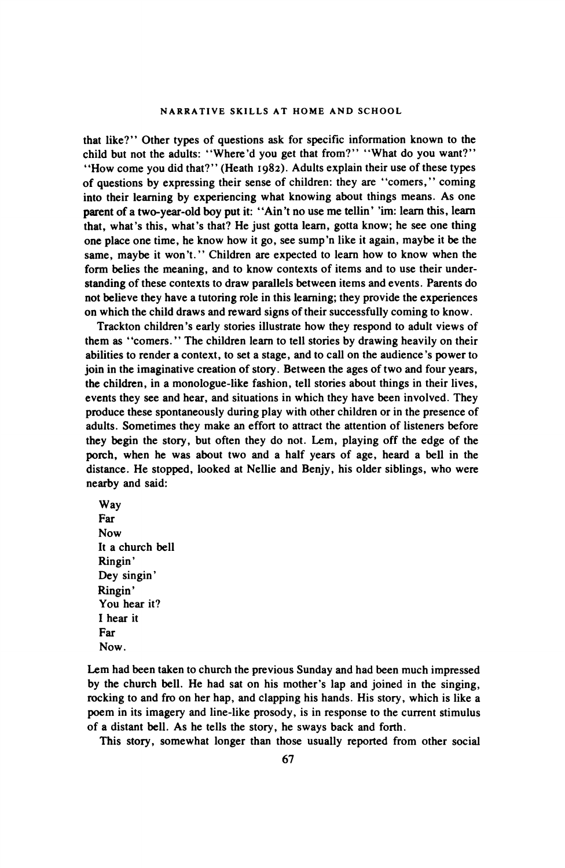**that like?" Other types of questions ask for specific information known to the child but not the adults: "Where'd you get that from?" "What do you want?" "How come you did that?" (Heath I982). Adults explain their use of these types of questions by expressing their sense of children: they are "comers," coming into their learning by experiencing what knowing about things means. As one parent of a two-year-old boy put it: "Ain't no use me tellin' 'im: learn this, learn that, what's this, what's that? He just gotta learn, gotta know; he see one thing one place one time, he know how it go, see sump'n like it again, maybe it be the same, maybe it won't." Children are expected to learn how to know when the form belies the meaning, and to know contexts of items and to use their understanding of these contexts to draw parallels between items and events. Parents do not believe they have a tutoring role in this learning; they provide the experiences on which the child draws and reward signs of their successfully coming to know.** 

**Trackton children's early stories illustrate how they respond to adult views of them as "comers." The children learn to tell stories by drawing heavily on their abilities to render a context, to set a stage, and to call on the audience's power to join in the imaginative creation of story. Between the ages of two and four years, the children, in a monologue-like fashion, tell stories about things in their lives, events they see and hear, and situations in which they have been involved. They produce these spontaneously during play with other children or in the presence of adults. Sometimes they make an effort to attract the attention of listeners before they begin the story, but often they do not. Lem, playing off the edge of the porch, when he was about two and a half years of age, heard a bell in the distance. He stopped, looked at Nellie and Benjy, his older siblings, who were nearby and said:** 

**Way Far Now It a church bell Ringin' Dey singin' Ringin' You hear it? I hear it Far Now.** 

**Lem had been taken to church the previous Sunday and had been much impressed by the church bell. He had sat on his mother's lap and joined in the singing, rocking to and fro on her hap, and clapping his hands. His story, which is like a poem in its imagery and line-like prosody, is in response to the current stimulus of a distant bell. As he tells the story, he sways back and forth.** 

**This story, somewhat longer than those usually reported from other social**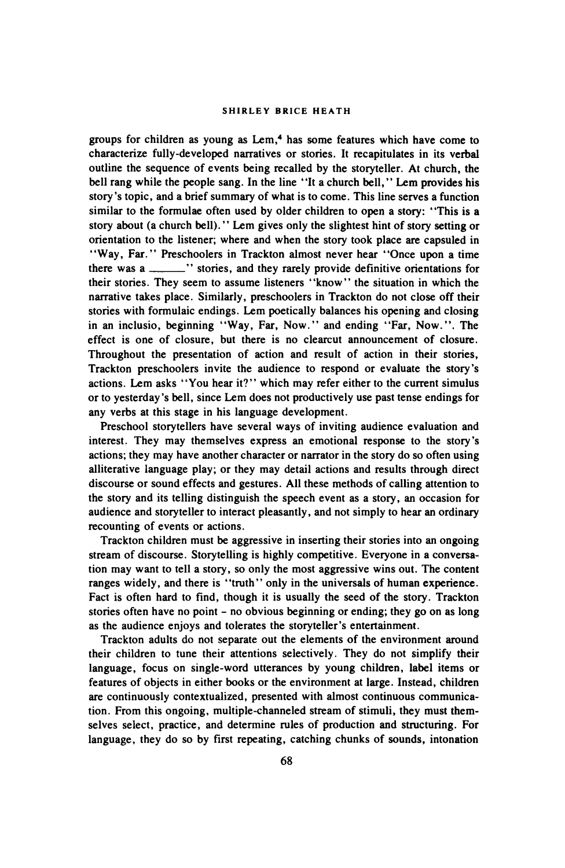**groups for children as young as Lem,4 has some features which have come to characterize fully-developed narratives or stories. It recapitulates in its verbal outline the sequence of events being recalled by the storyteller. At church, the bell rang while the people sang. In the line "It a church bell," Lem provides his story's topic, and a brief summary of what is to come. This line serves a function similar to the formulae often used by older children to open a story: "This is a story about (a church bell)." Lem gives only the slightest hint of story setting or orientation to the listener; where and when the story took place are capsuled in "Way, Far." Preschoolers in Trackton almost never hear "Once upon a time there was a \_\_\_\_\_ stories, and they rarely provide definitive orientations for their stories. They seem to assume listeners "know" the situation in which the narrative takes place. Similarly, preschoolers in Trackton do not close off their stories with formulaic endings. Lem poetically balances his opening and closing in an inclusio, beginning "Way, Far, Now." and ending "Far, Now.". The effect is one of closure, but there is no clearcut announcement of closure. Throughout the presentation of action and result of action in their stories, Trackton preschoolers invite the audience to respond or evaluate the story's actions. Lem asks "You hear it?" which may refer either to the current simulus or to yesterday's bell, since Lem does not productively use past tense endings for any verbs at this stage in his language development.** 

**Preschool storytellers have several ways of inviting audience evaluation and interest. They may themselves express an emotional response to the story's actions; they may have another character or narrator in the story do so often using alliterative language play; or they may detail actions and results through direct discourse or sound effects and gestures. All these methods of calling attention to the story and its telling distinguish the speech event as a story, an occasion for audience and storyteller to interact pleasantly, and not simply to hear an ordinary recounting of events or actions.** 

**Trackton children must be aggressive in inserting their stories into an ongoing stream of discourse. Storytelling is highly competitive. Everyone in a conversation may want to tell a story, so only the most aggressive wins out. The content ranges widely, and there is "truth" only in the universals of human experience. Fact is often hard to find, though it is usually the seed of the story. Trackton stories often have no point - no obvious beginning or ending; they go on as long as the audience enjoys and tolerates the storyteller's entertainment.** 

**Trackton adults do not separate out the elements of the environment around their children to tune their attentions selectively. They do not simplify their language, focus on single-word utterances by young children, label items or features of objects in either books or the environment at large. Instead, children are continuously contextualized, presented with almost continuous communication. From this ongoing, multiple-channeled stream of stimuli, they must themselves select, practice, and determine rules of production and structuring. For language, they do so by first repeating, catching chunks of sounds, intonation**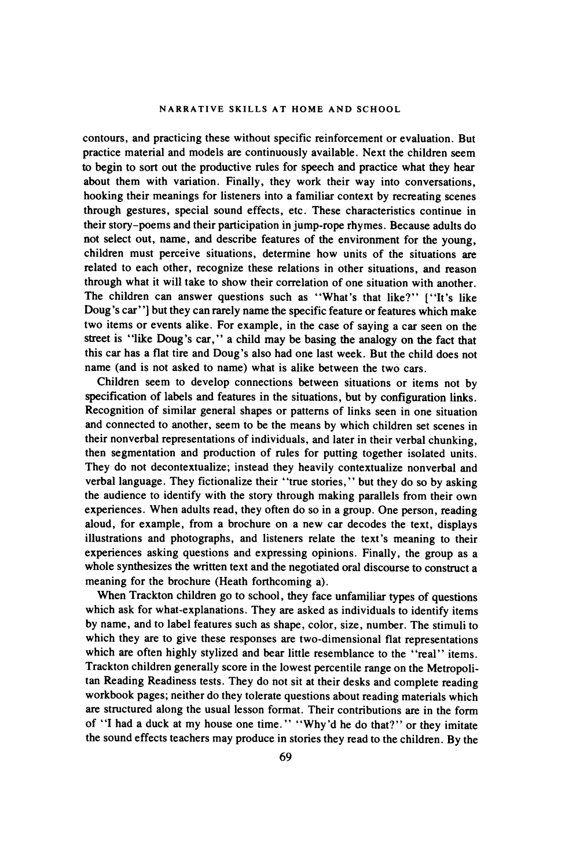**contours, and practicing these without specific reinforcement or evaluation. But practice material and models are continuously available. Next the children seem to begin to sort out the productive rules for speech and practice what they hear about them with variation. Finally, they work their way into conversations, hooking their meanings for listeners into a familiar context by recreating scenes through gestures, special sound effects, etc. These characteristics continue in their story-poems and their participation in jump-rope rhymes. Because adults do not select out, name, and describe features of the environment for the young, children must perceive situations, determine how units of the situations are related to each other, recognize these relations in other situations, and reason through what it will take to show their correlation of one situation with another.**  The children can answer questions such as "What's that like?" ["It's like **Doug's car'"] but they can rarely name the specific feature or features which make two items or events alike. For example, in the case of saying a car seen on the street is "like Doug's car," a child may be basing the analogy on the fact that this car has a flat tire and Doug's also had one last week. But the child does not name (and is not asked to name) what is alike between the two cars.** 

**Children seem to develop connections between situations or items not by specification of labels and features in the situations, but by configuration links. Recognition of similar general shapes or patterns of links seen in one situation and connected to another, seem to be the means by which children set scenes in their nonverbal representations of individuals, and later in their verbal chunking, then segmentation and production of rules for putting together isolated units. They do not decontextualize; instead they heavily contextualize nonverbal and verbal language. They fictionalize their "true stories," but they do so by asking the audience to identify with the story through making parallels from their own experiences. When adults read, they often do so in a group. One person, reading aloud, for example, from a brochure on a new car decodes the text, displays illustrations and photographs, and listeners relate the text's meaning to their experiences asking questions and expressing opinions. Finally, the group as a whole synthesizes the written text and the negotiated oral discourse to construct a meaning for the brochure (Heath forthcoming a).** 

**When Trackton children go to school, they face unfamiliar types of questions which ask for what-explanations. They are asked as individuals to identify items by name, and to label features such as shape, color, size, number. The stimuli to which they are to give these responses are two-dimensional flat representations which are often highly stylized and bear little resemblance to the "real" items. Trackton children generally score in the lowest percentile range on the Metropolitan Reading Readiness tests. They do not sit at their desks and complete reading workbook pages; neither do they tolerate questions about reading materials which are structured along the usual lesson format. Their contributions are in the form of "I had a duck at my house one time." "Why'd he do that?" or they imitate the sound effects teachers may produce in stories they read to the children. By the**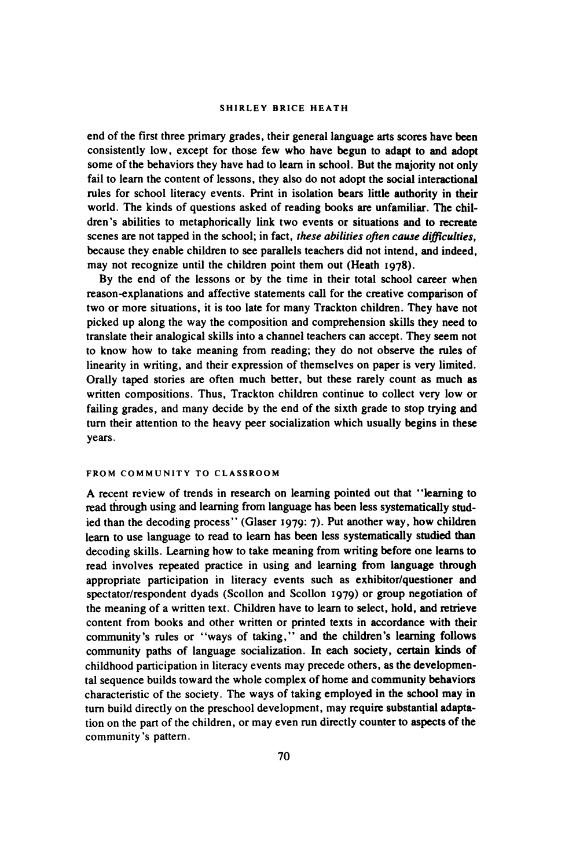**end of the first three primary grades, their general language arts scores have been consistently low, except for those few who have begun to adapt to and adopt some of the behaviors they have had to learn in school. But the majority not only fail to learn the content of lessons, they also do not adopt the social interactional rules for school literacy events. Print in isolation bears little authority in their world. The kinds of questions asked of reading books are unfamiliar. The children's abilities to metaphorically link two events or situations and to recreate scenes are not tapped in the school; in fact, these abilities often cause difficulties, because they enable children to see parallels teachers did not intend, and indeed, may not recognize until the children point them out (Heath 1978).** 

**By the end of the lessons or by the time in their total school career when reason-explanations and affective statements call for the creative comparison of two or more situations, it is too late for many Trackton children. They have not picked up along the way the composition and comprehension skills they need to translate their analogical skills into a channel teachers can accept. They seem not to know how to take meaning from reading; they do not observe the rules of linearity in writing, and their expression of themselves on paper is very limited. Orally taped stories are often much better, but these rarely count as much as written compositions. Thus, Trackton children continue to collect very low or failing grades, and many decide by the end of the sixth grade to stop trying and turn their attention to the heavy peer socialization which usually begins in these years.** 

## **FROM COMMUNITY TO CLASSROOM**

**A recent review of trends in research on learning pointed out that "learning to read through using and learning from language has been less systematically studied than the decoding process" (Glaser 1979: 7). Put another way, how children learn to use language to read to learn has been less systematically studied than decoding skills. Learning how to take meaning from writing before one learns to read involves repeated practice in using and learning from language through appropriate participation in literacy events such as exhibitor/questioner and spectator/respondent dyads (Scollon and Scollon 1979) or group negotiation of the meaning of a written text. Children have to learn to select, hold, and retrieve content from books and other written or printed texts in accordance with their community's rules or "ways of taking," and the children's learning follows community paths of language socialization. In each society, certain kinds of childhood participation in literacy events may precede others, as the developmental sequence builds toward the whole complex of home and community behaviors characteristic of the society. The ways of taking employed in the school may in turn build directly on the preschool development, may require substantial adaptation on the part of the children, or may even run directly counter to aspects of the community's pattern.**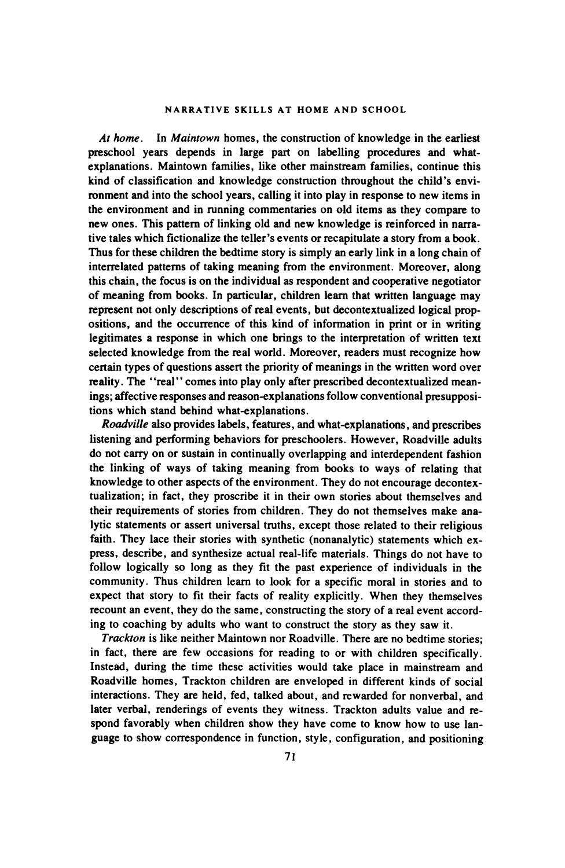**At home. In Maintown homes, the construction of knowledge in the earliest preschool years depends in large part on labelling procedures and whatexplanations. Maintown families, like other mainstream families, continue this kind of classification and knowledge construction throughout the child's environment and into the school years, calling it into play in response to new items in the environment and in running commentaries on old items as they compare to new ones. This pattern of linking old and new knowledge is reinforced in narrative tales which fictionalize the teller's events or recapitulate a story from a book. Thus for these children the bedtime story is simply an early link in a long chain of interrelated patterns of taking meaning from the environment. Moreover, along this chain, the focus is on the individual as respondent and cooperative negotiator of meaning from books. In particular, children learn that written language may represent not only descriptions of real events, but decontextualized logical propositions, and the occurrence of this kind of information in print or in writing legitimates a response in which one brings to the interpretation of written text selected knowledge from the real world. Moreover, readers must recognize how certain types of questions assert the priority of meanings in the written word over reality. The "real" comes into play only after prescribed decontextualized meanings; affective responses and reason-explanations follow conventional presuppositions which stand behind what-explanations.** 

**Roadville also provides labels, features, and what-explanations, and prescribes listening and performing behaviors for preschoolers. However, Roadville adults do not carry on or sustain in continually overlapping and interdependent fashion the linking of ways of taking meaning from books to ways of relating that knowledge to other aspects of the environment. They do not encourage decontextualization; in fact, they proscribe it in their own stories about themselves and their requirements of stories from children. They do not themselves make analytic statements or assert universal truths, except those related to their religious faith. They lace their stories with synthetic (nonanalytic) statements which express, describe, and synthesize actual real-life materials. Things do not have to follow logically so long as they fit the past experience of individuals in the community. Thus children learn to look for a specific moral in stories and to expect that story to fit their facts of reality explicitly. When they themselves recount an event, they do the same, constructing the story of a real event according to coaching by adults who want to construct the story as they saw it.** 

**Trackton is like neither Maintown nor Roadville. There are no bedtime stories; in fact, there are few occasions for reading to or with children specifically. Instead, during the time these activities would take place in mainstream and Roadville homes, Trackton children are enveloped in different kinds of social interactions. They are held, fed, talked about, and rewarded for nonverbal, and later verbal, renderings of events they witness. Trackton adults value and respond favorably when children show they have come to know how to use language to show correspondence in function, style, configuration, and positioning**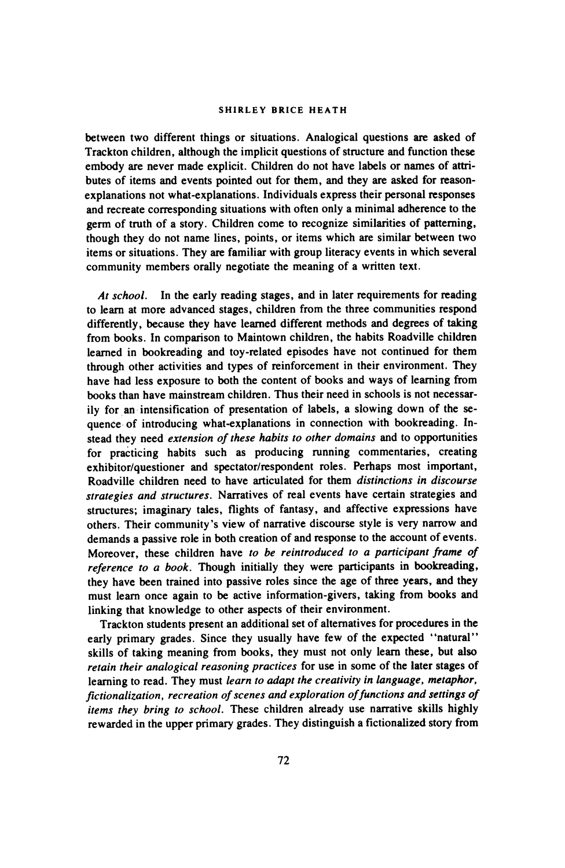**between two different things or situations. Analogical questions are asked of Trackton children, although the implicit questions of structure and function these embody are never made explicit. Children do not have labels or names of attributes of items and events pointed out for them, and they are asked for reasonexplanations not what-explanations. Individuals express their personal responses and recreate corresponding situations with often only a minimal adherence to the germ of truth of a story. Children come to recognize similarities of patterning, though they do not name lines, points, or items which are similar between two items or situations. They are familiar with group literacy events in which several community members orally negotiate the meaning of a written text.** 

**At school. In the early reading stages, and in later requirements for reading to learn at more advanced stages, children from the three communities respond differently, because they have learned different methods and degrees of taking from books. In comparison to Maintown children, the habits Roadville children learned in bookreading and toy-related episodes have not continued for them through other activities and types of reinforcement in their environment. They have had less exposure to both the content of books and ways of leaming from books than have mainstream children. Thus their need in schools is not necessarily for an-intensification of presentation of labels, a slowing down of the sequence-of introducing what-explanations in connection with bookreading. Instead they need extension of these habits to other domains and to opportunities for practicing habits such as producing running commentaries, creating exhibitor/questioner and spectator/respondent roles. Perhaps most important, Roadville children need to have articulated for them distinctions in discourse strategies and structures. Narratives of real events have certain strategies and structures; imaginary tales, flights of fantasy, and affective expressions have others. Their community's view of narrative discourse style is very narrow and demands a passive role in both creation of and response to the account of events. Moreover, these children have to be reintroduced to a participant frame of reference to a book. Though initially they were participants in bookreading, they have been trained into passive roles since the age of three years, and they must learn once again to be active information-givers, taking from books and linking that knowledge to other aspects of their environment.** 

**Trackton students present an additional set of alternatives for procedures in the early primary grades. Since they usually have few of the expected "natural" skills of taking meaning from books, they must not only learn these, but also retain their analogical reasoning practices for use in some of the later stages of learning to read. They must learn to adapt the creativity in language, metaphor, fictionalization, recreation of scenes and exploration offunctions and settings of items they bring to school. These children already use narrative skills highly rewarded in the upper primary grades. They distinguish a fictionalized story from**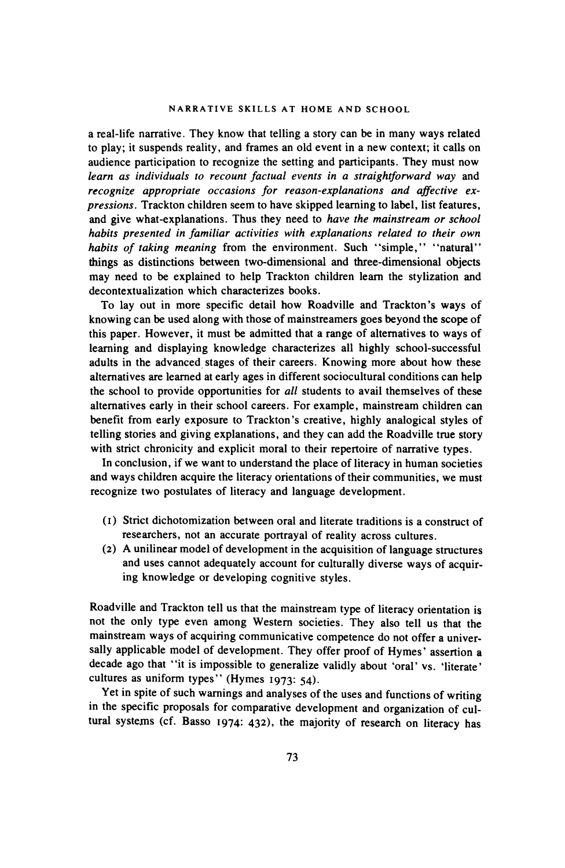**a real-life narrative. They know that telling a story can be in many ways related to play; it suspends reality, and frames an old event in a new context; it calls on audience participation to recognize the setting and participants. They must now learn as individuals to recount factual events in a straightforward way and recognize appropriate occasions for reason-explanations and affective expressions. Trackton children seem to have skipped learning to label, list features, and give what-explanations. Thus they need to have the mainstream or school habits presented in familiar activities with explanations related to their own**  habits of taking meaning from the environment. Such "simple," "natural" **things as distinctions between two-dimensional and three-dimensional objects may need to be explained to help Trackton children learn the stylization and decontextualization which characterizes books.** 

**To lay out in more specific detail how Roadville and Trackton's ways of knowing can be used along with those of mainstreamers goes beyond the scope of this paper. However, it must be admitted that a range of alternatives to ways of learning and displaying knowledge characterizes all highly school-successful adults in the advanced stages of their careers. Knowing more about how these alternatives are learned at early ages in different sociocultural conditions can help the school to provide opportunities for all students to avail themselves of these alternatives early in their school careers. For example, mainstream children can benefit from early exposure to Trackton's creative, highly analogical styles of telling stories and giving explanations, and they can add the Roadville true story with strict chronicity and explicit moral to their repertoire of narrative types.** 

**In conclusion, if we want to understand the place of literacy in human societies and ways children acquire the literacy orientations of their communities, we must recognize two postulates of literacy and language development.** 

- **(i) Strict dichotomization between oral and literate traditions is a construct of researchers, not an accurate portrayal of reality across cultures.**
- **(2) A unilinear model of development in the acquisition of language structures and uses cannot adequately account for culturally diverse ways of acquiring knowledge or developing cognitive styles.**

**Roadville and Trackton tell us that the mainstream type of literacy orientation is not the only type even among Western societies. They also tell us that the mainstream ways of acquiring communicative competence do not offer a universally applicable model of development. They offer proof of Hymes' assertion a decade ago that "it is impossible to generalize validly about 'oral' vs. 'literate' cultures as uniform types" (Hymes 1973: 54).** 

**Yet in spite of such warnings and analyses of the uses and functions of writing in the specific proposals for comparative development and organization of cul**tural systems (cf. Basso 1974: 432), the majority of research on literacy has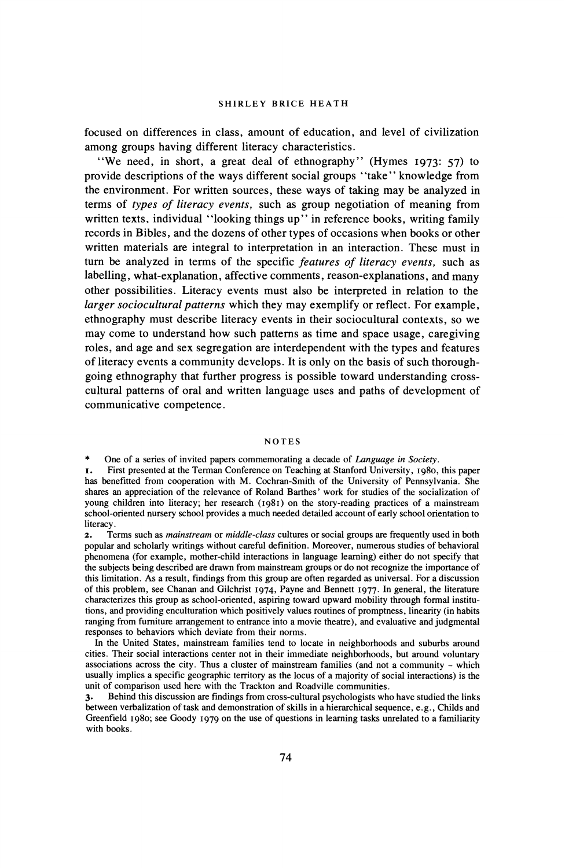**focused on differences in class, amount of education, and level of civilization among groups having different literacy characteristics.** 

**"We need, in short, a great deal of ethnography" (Hymes 1973: 57) to provide descriptions of the ways different social groups "take" knowledge from the environment. For written sources, these ways of taking may be analyzed in terms of types of literacy events, such as group negotiation of meaning from**  written texts, individual "looking things up" in reference books, writing family **records in Bibles, and the dozens of other types of occasions when books or other written materials are integral to interpretation in an interaction. These must in turn be analyzed in terms of the specific features of literacy events, such as labelling, what-explanation, affective comments, reason-explanations, and many other possibilities. Literacy events must also be interpreted in relation to the larger sociocultural patterns which they may exemplify or reflect. For example, ethnography must describe literacy events in their sociocultural contexts, so we may come to understand how such patterns as time and space usage, caregiving roles, and age and sex segregation are interdependent with the types and features of literacy events a community develops. It is only on the basis of such thoroughgoing ethnography that further progress is possible toward understanding crosscultural patterns of oral and written language uses and paths of development of communicative competence.** 

### **NOTES**

One of a series of invited papers commemorating a decade of *Language in Society*.

**I. First presented at the Terman Conference on Teaching at Stanford University, I980, this paper has benefitted from cooperation with M. Cochran-Smith of the University of Pennsylvania. She shares an appreciation of the relevance of Roland Barthes' work for studies of the socialization of young children into literacy; her research (I98I) on the story-reading practices of a mainstream school-oriented nursery school provides a much needed detailed account of early school orientation to literacy.** 

**2. Terms such as mainstream or middle-class cultures or social groups are frequently used in both popular and scholarly writings without careful definition. Moreover, numerous studies of behavioral phenomena (for example, mother-child interactions in language learning) either do not specify that the subjects being described are drawn from mainstream groups or do not recognize the importance of this limitation. As a result, findings from this group are often regarded as universal. For a discussion of this problem, see Chanan and Gilchrist 1974, Payne and Bennett 1977. In general, the literature characterizes this group as school-oriented, aspiring toward upward mobility through formal institutions, and providing enculturation which positively values routines of promptness, linearity (in habits**  ranging from furniture arrangement to entrance into a movie theatre), and evaluative and judgmental **responses to behaviors which deviate from their norms.** 

**In the United States, mainstream families tend to locate in neighborhoods and suburbs around cities. Their social interactions center not in their immediate neighborhoods, but around voluntary associations across the city. Thus a cluster of mainstream families (and not a community - which usually implies a specific geographic territory as the locus of a majority of social interactions) is the unit of comparison used here with the Trackton and Roadville communities.** 

**3. Behind this discussion are findings from cross-cultural psychologists who have studied the links between verbalization of task and demonstration of skills in a hierarchical sequence, e.g., Childs and Greenfield I980; see Goody 1979 on the use of questions in learning tasks unrelated to a familiarity with books.**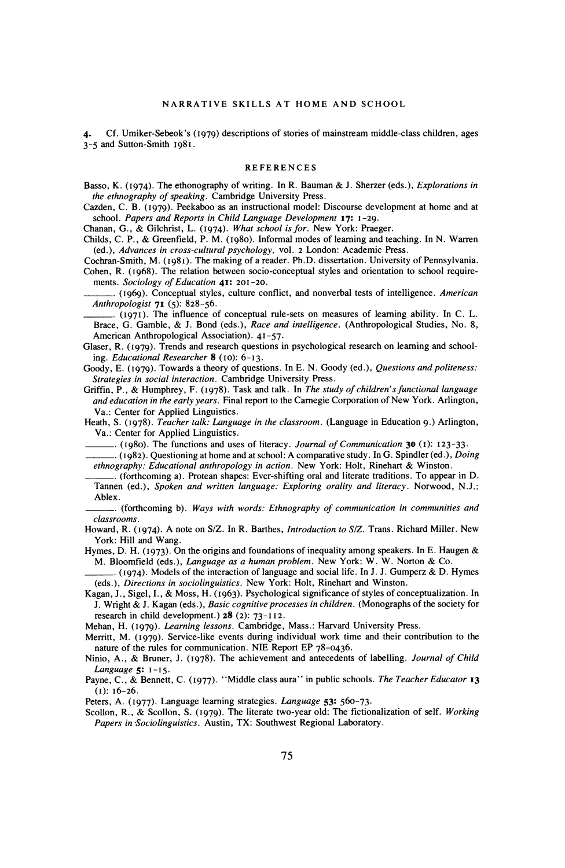**4. Cf. Umiker-Sebeok's (I979) descriptions of stories of mainstream middle-class children, ages 3-5 and Sutton-Smith I98I.** 

#### **REFERENCES**

**Basso, K. (I974). The ethonography of writing. In R. Bauman & J. Sherzer (eds.), Explorations in the ethnography of speaking. Cambridge University Press.** 

**Cazden, C. B. (1979). Peekaboo as an instructional model: Discourse development at home and at school. Papers and Reports in Child Language Development 17: I-29.** 

**Chanan, G., & Gilchrist, L. (I974). What school is for. New York: Praeger.** 

**Childs, C. P., & Greenfield, P. M. (I980). Informal modes of learning and teaching. In N. Warren (ed.), Advances in cross-cultural psychology, vol. 2 London: Academic Press.** 

**Cochran-Smith, M. (I98I). The making of a reader. Ph.D. dissertation. University of Pennsylvania. Cohen, R. (I968). The relation between socio-conceptual styles and orientation to school requirements. Sociology of Education 4I: 201-20.** 

**. (I969). Conceptual styles, culture conflict, and nonverbal tests of intelligence. American Anthropologist 71 (5): 828-56.** 

**.(971). The influence of conceptual rule-sets on measures of learning ability. In C. L. Brace, G. Gamble, & J. Bond (eds.), Race and intelligence. (Anthropological Studies, No. 8, American Anthropological Association). 41-57.** 

**Glaser, R. (1979). Trends and research questions in psychological research on learning and schooling. Educational Researcher 8 (I0): 6-13.** 

**Goody, E. (I979). Towards a theory of questions. In E. N. Goody (ed.), Questions and politeness: Strategies in social interaction. Cambridge University Press.** 

- **Griffin, P., & Humphrey, F. (1978). Task and talk. In The study of children's functional language and education in the early years. Final report to the Carnegie Corporation of New York. Arlington, Va.: Center for Applied Linguistics.**
- **Heath, S. (1978). Teacher talk: Language in the classroom. (Language in Education 9.) Arlington, Va.: Center for Applied Linguistics.**

**(I980). The functions and uses of literacy. Journal of Communication 30 (I): I23-33.** 

**(1982). Questioning at home and at school: A comparative study. In G. Spindler (ed.), Doing ethnography: Educational anthropology in action. New York: Holt, Rinehart & Winston.** 

**. (forthcoming a). Protean shapes: Ever-shifting oral and literate traditions. To appear in D. Tannen (ed.), Spoken and written language: Exploring orality and literacy. Norwood, N.J.: Ablex.** 

**. (forthcoming b). Ways with words: Ethnography of communication in communities and classrooms.** 

**Howard, R. (I974). A note on S/Z. In R. Barthes, Introduction to SIZ. Trans. Richard Miller. New York: Hill and Wang.** 

**Hymes, D. H. (1973). On the origins and foundations of inequality among speakers. In E. Haugen & M. Bloomfield (eds.), Language as a human problem. New York: W. W. Norton & Co.** 

**. (I974). Models of the interaction of language and social life. In J. J. Gumperz & D. Hymes (eds.), Directions in sociolinguistics. New York: Holt, Rinehart and Winston.** 

**Kagan, J., Sigel, I., & Moss, H. (I963). Psychological significance of styles of conceptualization. In J. Wright & J. Kagan (eds.), Basic cognitive processes in children. (Monographs of the society for research in child development.) 28 (2): 73-112.** 

**Mehan, H. (1979). Learning lessons. Cambridge, Mass.: Harvard University Press.** 

**Merritt, M. (1979). Service-like events during individual work time and their contribution to the nature of the rules for communication. NIE Report EP 78-0436.** 

**Ninio, A., & Bruner, J. (1978). The achievement and antecedents of labelling. Journal of Child Language 5: I-I5.** 

Payne, C., & Bennett, C. (1977). "Middle class aura" in public schools. The Teacher Educator 13 **(I): I6-26.** 

**Peters, A. (1977). Language leaming strategies. Language 53: 560-73.** 

**Scollon, R., & Scollon, S. (1979). The literate two-year old: The fictionalization of self. Working Papers in Sociolinguistics. Austin, TX: Southwest Regional Laboratory.**